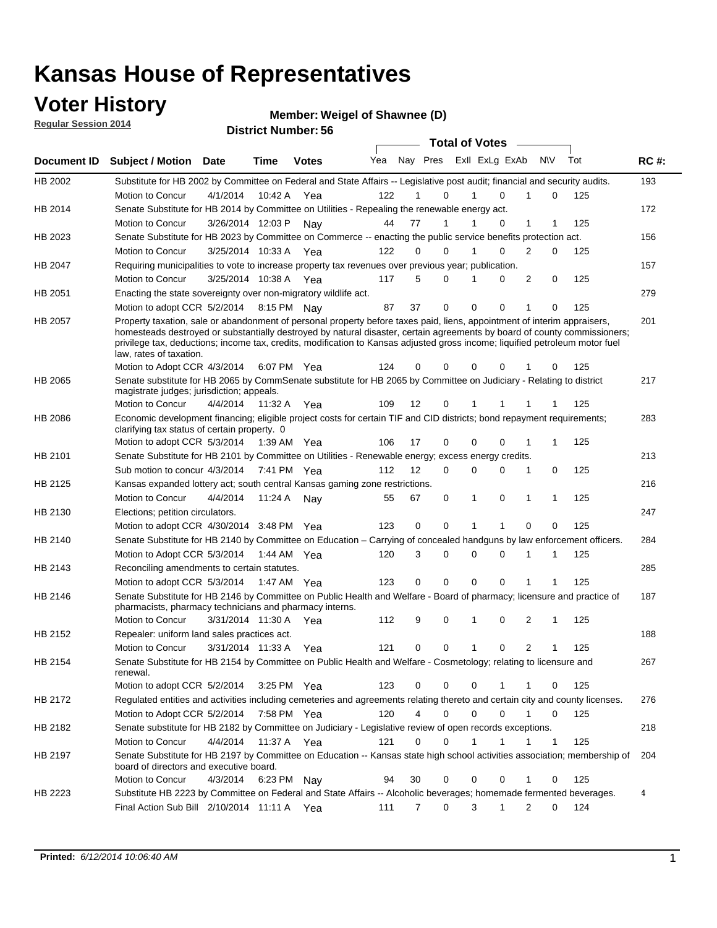### **Voter History**

**Regular Session 2014**

#### **Weigel of Shawnee (D)**

|             |                                                                                                                                                                                                                                                                                                                                                                                                                  |                       | IJU IVL ITUHIIVVI . |              |     |    |                         | <b>Total of Votes</b> |             |                |              |     |             |
|-------------|------------------------------------------------------------------------------------------------------------------------------------------------------------------------------------------------------------------------------------------------------------------------------------------------------------------------------------------------------------------------------------------------------------------|-----------------------|---------------------|--------------|-----|----|-------------------------|-----------------------|-------------|----------------|--------------|-----|-------------|
| Document ID | <b>Subject / Motion Date</b>                                                                                                                                                                                                                                                                                                                                                                                     |                       | Time                | <b>Votes</b> | Yea |    | Nay Pres Exll ExLg ExAb |                       |             | N\V            |              | Tot | <b>RC#:</b> |
| HB 2002     | Substitute for HB 2002 by Committee on Federal and State Affairs -- Legislative post audit; financial and security audits.                                                                                                                                                                                                                                                                                       |                       |                     |              |     |    |                         |                       |             |                |              |     | 193         |
|             | Motion to Concur                                                                                                                                                                                                                                                                                                                                                                                                 | 4/1/2014              | 10:42 A             | Yea          | 122 | 1  | $\Omega$                |                       | $\Omega$    | 1              | 0            | 125 |             |
| HB 2014     | Senate Substitute for HB 2014 by Committee on Utilities - Repealing the renewable energy act.                                                                                                                                                                                                                                                                                                                    |                       |                     |              |     |    |                         |                       |             |                |              |     | 172         |
|             | Motion to Concur                                                                                                                                                                                                                                                                                                                                                                                                 | 3/26/2014 12:03 P Nay |                     |              | 44  | 77 | 1                       |                       | $\Omega$    | 1              |              | 125 |             |
| HB 2023     | Senate Substitute for HB 2023 by Committee on Commerce -- enacting the public service benefits protection act.                                                                                                                                                                                                                                                                                                   |                       |                     |              |     |    |                         |                       |             |                |              |     | 156         |
|             | Motion to Concur                                                                                                                                                                                                                                                                                                                                                                                                 | 3/25/2014 10:33 A Yea |                     |              | 122 | 0  | $\Omega$                |                       | $\Omega$    | $\overline{2}$ | $\Omega$     | 125 |             |
| HB 2047     | Requiring municipalities to vote to increase property tax revenues over previous year; publication.                                                                                                                                                                                                                                                                                                              |                       |                     |              |     |    |                         |                       |             |                |              |     | 157         |
|             | Motion to Concur                                                                                                                                                                                                                                                                                                                                                                                                 | 3/25/2014 10:38 A Yea |                     |              | 117 | 5  | $\Omega$                | 1                     | 0           | 2              | 0            | 125 |             |
| HB 2051     | Enacting the state sovereignty over non-migratory wildlife act.                                                                                                                                                                                                                                                                                                                                                  |                       |                     |              |     |    |                         |                       |             |                |              |     | 279         |
|             | Motion to adopt CCR 5/2/2014 8:15 PM Nay                                                                                                                                                                                                                                                                                                                                                                         |                       |                     |              | 87  | 37 | $\mathbf 0$             | $\Omega$              | $\Omega$    | 1              | 0            | 125 |             |
| HB 2057     | Property taxation, sale or abandonment of personal property before taxes paid, liens, appointment of interim appraisers,<br>homesteads destroyed or substantially destroyed by natural disaster, certain agreements by board of county commissioners;<br>privilege tax, deductions; income tax, credits, modification to Kansas adjusted gross income; liquified petroleum motor fuel<br>law, rates of taxation. |                       |                     |              |     |    |                         |                       |             |                |              |     | 201         |
|             | Motion to Adopt CCR 4/3/2014                                                                                                                                                                                                                                                                                                                                                                                     |                       |                     | 6:07 PM Yea  | 124 | 0  | $\Omega$                | 0                     | 0           |                | 0            | 125 |             |
| HB 2065     | Senate substitute for HB 2065 by CommSenate substitute for HB 2065 by Committee on Judiciary - Relating to district<br>magistrate judges; jurisdiction; appeals.                                                                                                                                                                                                                                                 |                       |                     |              |     |    |                         |                       |             |                |              |     | 217         |
|             | Motion to Concur                                                                                                                                                                                                                                                                                                                                                                                                 | 4/4/2014              | 11:32 A             | Yea          | 109 | 12 | 0                       | 1                     | 1           |                |              | 125 |             |
| HB 2086     | Economic development financing; eligible project costs for certain TIF and CID districts; bond repayment requirements;<br>clarifying tax status of certain property. 0                                                                                                                                                                                                                                           |                       |                     |              |     |    |                         |                       |             |                |              |     | 283         |
|             | Motion to adopt CCR 5/3/2014                                                                                                                                                                                                                                                                                                                                                                                     |                       |                     | 1:39 AM Yea  | 106 | 17 | 0                       | $\Omega$              | $\Omega$    | 1              | 1            | 125 |             |
| HB 2101     | Senate Substitute for HB 2101 by Committee on Utilities - Renewable energy; excess energy credits.                                                                                                                                                                                                                                                                                                               |                       |                     |              |     |    |                         |                       |             |                |              |     | 213         |
|             | Sub motion to concur 4/3/2014                                                                                                                                                                                                                                                                                                                                                                                    |                       |                     | 7:41 PM Yea  | 112 | 12 | 0                       | $\mathbf 0$           | $\mathbf 0$ | 1              | 0            | 125 |             |
| HB 2125     | Kansas expanded lottery act; south central Kansas gaming zone restrictions.                                                                                                                                                                                                                                                                                                                                      |                       |                     |              |     |    |                         |                       |             |                |              |     | 216         |
|             | Motion to Concur                                                                                                                                                                                                                                                                                                                                                                                                 | 4/4/2014              | 11:24 A             | Nav          | 55  | 67 | 0                       | 1                     | 0           | 1              | 1            | 125 |             |
| HB 2130     | Elections; petition circulators.                                                                                                                                                                                                                                                                                                                                                                                 |                       |                     |              |     |    |                         |                       |             |                |              |     | 247         |
|             | Motion to adopt CCR 4/30/2014 3:48 PM Yea                                                                                                                                                                                                                                                                                                                                                                        |                       |                     |              | 123 |    | 0<br>0                  | 1                     | 1           | $\Omega$       | 0            | 125 |             |
| HB 2140     | Senate Substitute for HB 2140 by Committee on Education – Carrying of concealed handguns by law enforcement officers.                                                                                                                                                                                                                                                                                            |                       |                     |              |     |    |                         |                       |             |                |              |     | 284         |
|             | Motion to Adopt CCR 5/3/2014 1:44 AM Yea                                                                                                                                                                                                                                                                                                                                                                         |                       |                     |              | 120 |    | 3<br>0                  | $\mathbf 0$           | $\mathbf 0$ | 1              | 1            | 125 |             |
| HB 2143     | Reconciling amendments to certain statutes.                                                                                                                                                                                                                                                                                                                                                                      |                       |                     |              |     |    |                         |                       |             |                |              |     | 285         |
|             | Motion to adopt CCR 5/3/2014 1:47 AM Yea                                                                                                                                                                                                                                                                                                                                                                         |                       |                     |              | 123 |    | 0<br>0                  | $\mathbf 0$           | $\mathbf 0$ |                |              | 125 |             |
| HB 2146     | Senate Substitute for HB 2146 by Committee on Public Health and Welfare - Board of pharmacy; licensure and practice of<br>pharmacists, pharmacy technicians and pharmacy interns.                                                                                                                                                                                                                                |                       |                     |              |     |    |                         |                       |             |                |              |     | 187         |
|             | Motion to Concur                                                                                                                                                                                                                                                                                                                                                                                                 | 3/31/2014 11:30 A     |                     | Yea          | 112 | 9  | 0                       | 1                     | $\mathbf 0$ | 2              | 1            | 125 |             |
| HB 2152     | Repealer: uniform land sales practices act.                                                                                                                                                                                                                                                                                                                                                                      |                       |                     |              |     |    |                         |                       |             |                |              |     | 188         |
|             | <b>Motion to Concur</b>                                                                                                                                                                                                                                                                                                                                                                                          | 3/31/2014 11:33 A     |                     | Yea          | 121 | 0  | 0                       | $\mathbf{1}$          | 0           | 2              | 1            | 125 |             |
| HB 2154     | Senate Substitute for HB 2154 by Committee on Public Health and Welfare - Cosmetology; relating to licensure and<br>renewal.                                                                                                                                                                                                                                                                                     |                       |                     |              |     |    |                         |                       |             |                |              |     | 267         |
|             | Motion to adopt CCR 5/2/2014                                                                                                                                                                                                                                                                                                                                                                                     |                       |                     | 3:25 PM Yea  | 123 |    | 0<br>0                  | $\mathbf 0$           |             |                | 0            | 125 |             |
| HB 2172     | Regulated entities and activities including cemeteries and agreements relating thereto and certain city and county licenses.                                                                                                                                                                                                                                                                                     |                       |                     |              |     |    |                         |                       |             |                |              |     | 276         |
|             | Motion to Adopt CCR 5/2/2014                                                                                                                                                                                                                                                                                                                                                                                     |                       |                     | 7:58 PM Yea  | 120 |    | 4<br>$\mathbf 0$        | $\mathbf 0$           | $\Omega$    | $\mathbf{1}$   | $\mathbf 0$  | 125 |             |
| HB 2182     | Senate substitute for HB 2182 by Committee on Judiciary - Legislative review of open records exceptions.                                                                                                                                                                                                                                                                                                         |                       |                     |              |     |    |                         |                       |             |                |              |     | 218         |
|             | Motion to Concur                                                                                                                                                                                                                                                                                                                                                                                                 | 4/4/2014 11:37 A Yea  |                     |              | 121 | 0  | 0                       | 1                     | 1           | 1              | $\mathbf{1}$ | 125 |             |
| HB 2197     | Senate Substitute for HB 2197 by Committee on Education -- Kansas state high school activities association; membership of<br>board of directors and executive board.                                                                                                                                                                                                                                             |                       |                     |              |     |    |                         |                       |             |                |              |     | 204         |
|             | Motion to Concur                                                                                                                                                                                                                                                                                                                                                                                                 | 4/3/2014              |                     | 6:23 PM Nay  | 94  | 30 | 0                       | 0                     | 0           | 1              | 0            | 125 |             |
| HB 2223     | Substitute HB 2223 by Committee on Federal and State Affairs -- Alcoholic beverages; homemade fermented beverages.                                                                                                                                                                                                                                                                                               |                       |                     |              |     |    |                         |                       |             |                |              |     | 4           |
|             | Final Action Sub Bill 2/10/2014 11:11 A Yea                                                                                                                                                                                                                                                                                                                                                                      |                       |                     |              | 111 |    | 0<br>7                  | 3                     | 1           | 2              | 0            | 124 |             |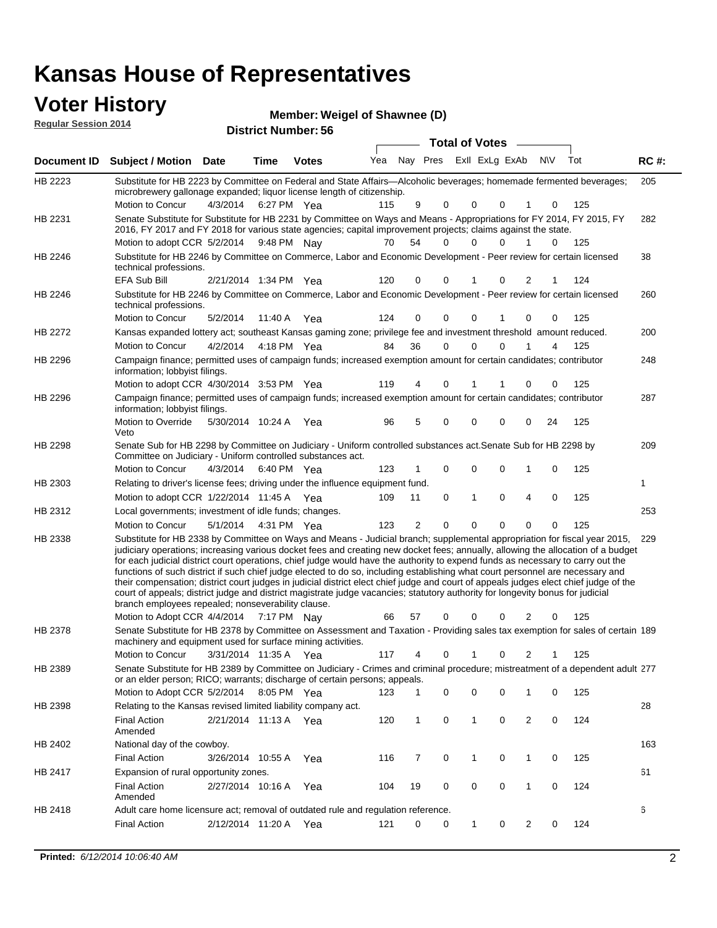# **Voter History**<br> **Regular Session 2014**

| <b>VULCI FIISLUI Y</b>      | <b>Member: Weigel of Shawnee (D)</b> |
|-----------------------------|--------------------------------------|
| <b>Regular Session 2014</b> |                                      |
|                             | <b>District Number: 56</b>           |
|                             | Tota                                 |

|         |                                                                                                                                                                                                                                                                                                                                                                                                                                                                                                                                                                                                                                                                                                                                                                                                                                                                                                                 |                       |         |              |     |                |   | <b>Total of Votes</b> |             |                |          |     |             |
|---------|-----------------------------------------------------------------------------------------------------------------------------------------------------------------------------------------------------------------------------------------------------------------------------------------------------------------------------------------------------------------------------------------------------------------------------------------------------------------------------------------------------------------------------------------------------------------------------------------------------------------------------------------------------------------------------------------------------------------------------------------------------------------------------------------------------------------------------------------------------------------------------------------------------------------|-----------------------|---------|--------------|-----|----------------|---|-----------------------|-------------|----------------|----------|-----|-------------|
|         | Document ID Subject / Motion Date                                                                                                                                                                                                                                                                                                                                                                                                                                                                                                                                                                                                                                                                                                                                                                                                                                                                               |                       | Time    | <b>Votes</b> | Yea | Nay Pres       |   | Exil ExLg ExAb N\V    |             |                |          | Tot | <b>RC#:</b> |
| HB 2223 | Substitute for HB 2223 by Committee on Federal and State Affairs—Alcoholic beverages; homemade fermented beverages;<br>microbrewery gallonage expanded; liquor license length of citizenship.<br>Motion to Concur                                                                                                                                                                                                                                                                                                                                                                                                                                                                                                                                                                                                                                                                                               | 4/3/2014              |         | 6:27 PM Yea  | 115 | 9              | 0 | 0                     | $\Omega$    |                | 0        | 125 | 205         |
| HB 2231 | Senate Substitute for Substitute for HB 2231 by Committee on Ways and Means - Appropriations for FY 2014, FY 2015, FY<br>2016, FY 2017 and FY 2018 for various state agencies; capital improvement projects; claims against the state.<br>Motion to adopt CCR 5/2/2014 9:48 PM Nay                                                                                                                                                                                                                                                                                                                                                                                                                                                                                                                                                                                                                              |                       |         |              | 70  | 54             | 0 | 0                     | 0           | 1              | $\Omega$ | 125 | 282         |
| HB 2246 | Substitute for HB 2246 by Committee on Commerce, Labor and Economic Development - Peer review for certain licensed<br>technical professions.                                                                                                                                                                                                                                                                                                                                                                                                                                                                                                                                                                                                                                                                                                                                                                    |                       |         |              |     |                |   |                       |             |                |          |     | 38          |
|         | EFA Sub Bill                                                                                                                                                                                                                                                                                                                                                                                                                                                                                                                                                                                                                                                                                                                                                                                                                                                                                                    | 2/21/2014 1:34 PM Yea |         |              | 120 | 0              | 0 | 1                     | 0           | 2              | 1        | 124 |             |
| HB 2246 | Substitute for HB 2246 by Committee on Commerce, Labor and Economic Development - Peer review for certain licensed<br>technical professions.                                                                                                                                                                                                                                                                                                                                                                                                                                                                                                                                                                                                                                                                                                                                                                    |                       |         |              |     |                |   |                       |             |                |          |     | 260         |
|         | Motion to Concur                                                                                                                                                                                                                                                                                                                                                                                                                                                                                                                                                                                                                                                                                                                                                                                                                                                                                                | 5/2/2014              | 11:40 A | Yea          | 124 | 0              | 0 | 0                     |             | $\Omega$       | 0        | 125 |             |
| HB 2272 | Kansas expanded lottery act; southeast Kansas gaming zone; privilege fee and investment threshold amount reduced.                                                                                                                                                                                                                                                                                                                                                                                                                                                                                                                                                                                                                                                                                                                                                                                               |                       |         |              |     |                |   |                       |             |                |          |     | 200         |
|         | Motion to Concur                                                                                                                                                                                                                                                                                                                                                                                                                                                                                                                                                                                                                                                                                                                                                                                                                                                                                                | 4/2/2014              |         | 4:18 PM Yea  | 84  | 36             | 0 | $\mathbf 0$           | $\Omega$    |                | 4        | 125 |             |
| HB 2296 | Campaign finance; permitted uses of campaign funds; increased exemption amount for certain candidates; contributor<br>information; lobbyist filings.                                                                                                                                                                                                                                                                                                                                                                                                                                                                                                                                                                                                                                                                                                                                                            |                       |         |              |     |                |   |                       |             |                |          |     | 248         |
|         | Motion to adopt CCR 4/30/2014 3:53 PM Yea                                                                                                                                                                                                                                                                                                                                                                                                                                                                                                                                                                                                                                                                                                                                                                                                                                                                       |                       |         |              | 119 | 4              | 0 |                       |             | 0              | 0        | 125 |             |
| HB 2296 | Campaign finance; permitted uses of campaign funds; increased exemption amount for certain candidates; contributor<br>information; lobbyist filings.                                                                                                                                                                                                                                                                                                                                                                                                                                                                                                                                                                                                                                                                                                                                                            |                       |         |              |     |                |   |                       |             |                |          |     | 287         |
|         | Motion to Override<br>Veto                                                                                                                                                                                                                                                                                                                                                                                                                                                                                                                                                                                                                                                                                                                                                                                                                                                                                      | 5/30/2014 10:24 A     |         | Yea          | 96  | 5              | 0 | 0                     | $\Omega$    | 0              | 24       | 125 |             |
| HB 2298 | Senate Sub for HB 2298 by Committee on Judiciary - Uniform controlled substances act. Senate Sub for HB 2298 by<br>Committee on Judiciary - Uniform controlled substances act.                                                                                                                                                                                                                                                                                                                                                                                                                                                                                                                                                                                                                                                                                                                                  |                       |         |              |     |                |   |                       |             |                |          |     | 209         |
|         | Motion to Concur                                                                                                                                                                                                                                                                                                                                                                                                                                                                                                                                                                                                                                                                                                                                                                                                                                                                                                | 4/3/2014              |         | 6:40 PM Yea  | 123 | 1              | 0 | 0                     | 0           | 1              | 0        | 125 |             |
| HB 2303 | Relating to driver's license fees; driving under the influence equipment fund.                                                                                                                                                                                                                                                                                                                                                                                                                                                                                                                                                                                                                                                                                                                                                                                                                                  |                       |         |              |     |                |   |                       |             |                |          |     | 1           |
|         | Motion to adopt CCR 1/22/2014 11:45 A Yea                                                                                                                                                                                                                                                                                                                                                                                                                                                                                                                                                                                                                                                                                                                                                                                                                                                                       |                       |         |              | 109 | 11             | 0 | $\mathbf{1}$          | 0           | $\overline{4}$ | 0        | 125 |             |
| HB 2312 | Local governments; investment of idle funds; changes.                                                                                                                                                                                                                                                                                                                                                                                                                                                                                                                                                                                                                                                                                                                                                                                                                                                           |                       |         |              |     |                |   |                       |             |                |          |     | 253         |
|         | Motion to Concur                                                                                                                                                                                                                                                                                                                                                                                                                                                                                                                                                                                                                                                                                                                                                                                                                                                                                                | 5/1/2014              |         | 4:31 PM Yea  | 123 | $\overline{2}$ | 0 | $\mathbf 0$           | $\mathbf 0$ | 0              | 0        | 125 |             |
| HB 2338 | Substitute for HB 2338 by Committee on Ways and Means - Judicial branch; supplemental appropriation for fiscal year 2015,<br>judiciary operations; increasing various docket fees and creating new docket fees; annually, allowing the allocation of a budget<br>for each judicial district court operations, chief judge would have the authority to expend funds as necessary to carry out the<br>functions of such district if such chief judge elected to do so, including establishing what court personnel are necessary and<br>their compensation; district court judges in judicial district elect chief judge and court of appeals judges elect chief judge of the<br>court of appeals; district judge and district magistrate judge vacancies; statutory authority for longevity bonus for judicial<br>branch employees repealed; nonseverability clause.<br>Motion to Adopt CCR 4/4/2014 7:17 PM Nay |                       |         |              | 66  | 57             | 0 | 0                     | 0           | 2              | 0        | 125 | 229         |
| HB 2378 | Senate Substitute for HB 2378 by Committee on Assessment and Taxation - Providing sales tax exemption for sales of certain 189<br>machinery and equipment used for surface mining activities.                                                                                                                                                                                                                                                                                                                                                                                                                                                                                                                                                                                                                                                                                                                   |                       |         |              |     |                |   |                       |             |                |          |     |             |
|         | Motion to Concur                                                                                                                                                                                                                                                                                                                                                                                                                                                                                                                                                                                                                                                                                                                                                                                                                                                                                                | 3/31/2014 11:35 A     |         | Yea          | 117 | 4              | 0 | 1                     | 0           | 2              | -1       | 125 |             |
| HB 2389 | Senate Substitute for HB 2389 by Committee on Judiciary - Crimes and criminal procedure; mistreatment of a dependent adult 277<br>or an elder person; RICO; warrants; discharge of certain persons; appeals.                                                                                                                                                                                                                                                                                                                                                                                                                                                                                                                                                                                                                                                                                                    |                       |         |              |     |                |   |                       |             |                |          |     |             |
|         | Motion to Adopt CCR 5/2/2014                                                                                                                                                                                                                                                                                                                                                                                                                                                                                                                                                                                                                                                                                                                                                                                                                                                                                    |                       |         | 8:05 PM Yea  | 123 | 1              | 0 | 0                     | 0           | 1              | 0        | 125 |             |
| HB 2398 | Relating to the Kansas revised limited liability company act.                                                                                                                                                                                                                                                                                                                                                                                                                                                                                                                                                                                                                                                                                                                                                                                                                                                   |                       |         |              |     |                |   |                       |             |                |          |     | 28          |
|         | <b>Final Action</b><br>Amended                                                                                                                                                                                                                                                                                                                                                                                                                                                                                                                                                                                                                                                                                                                                                                                                                                                                                  | 2/21/2014 11:13 A Yea |         |              | 120 | 1              | 0 | $\mathbf{1}$          | 0           | $\overline{2}$ | 0        | 124 |             |
| HB 2402 | National day of the cowboy.                                                                                                                                                                                                                                                                                                                                                                                                                                                                                                                                                                                                                                                                                                                                                                                                                                                                                     |                       |         |              |     |                |   |                       |             |                |          |     | 163         |
|         | <b>Final Action</b>                                                                                                                                                                                                                                                                                                                                                                                                                                                                                                                                                                                                                                                                                                                                                                                                                                                                                             | 3/26/2014 10:55 A     |         | Yea          | 116 | 7              | 0 | $\mathbf{1}$          | 0           | $\mathbf{1}$   | 0        | 125 |             |
| HB 2417 | Expansion of rural opportunity zones.                                                                                                                                                                                                                                                                                                                                                                                                                                                                                                                                                                                                                                                                                                                                                                                                                                                                           |                       |         |              |     |                |   |                       |             |                |          |     | 61          |
|         | <b>Final Action</b><br>Amended                                                                                                                                                                                                                                                                                                                                                                                                                                                                                                                                                                                                                                                                                                                                                                                                                                                                                  | 2/27/2014 10:16 A     |         | Yea          | 104 | 19             | 0 | 0                     | 0           | $\mathbf{1}$   | 0        | 124 |             |
| HB 2418 | Adult care home licensure act; removal of outdated rule and regulation reference.<br><b>Final Action</b>                                                                                                                                                                                                                                                                                                                                                                                                                                                                                                                                                                                                                                                                                                                                                                                                        | 2/12/2014 11:20 A Yea |         |              | 121 | 0              | 0 | 1                     | 0           | 2              | 0        | 124 | 6           |
|         |                                                                                                                                                                                                                                                                                                                                                                                                                                                                                                                                                                                                                                                                                                                                                                                                                                                                                                                 |                       |         |              |     |                |   |                       |             |                |          |     |             |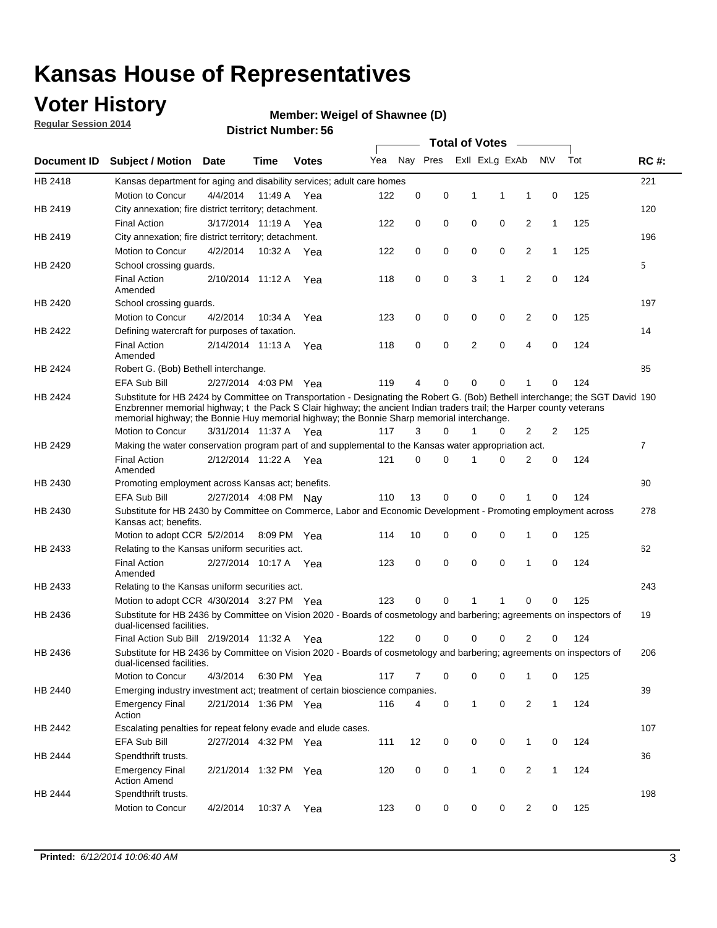### **Voter History**

**Regular Session 2014**

#### **Weigel of Shawnee (D)**

|                    |                                                                                                                                                                                                                                                                                                                                                      |                       |             | DISTRICT MAILINGL. 30 |     |          |          |   | <b>Total of Votes</b> | $\sim$         |              |     |                |
|--------------------|------------------------------------------------------------------------------------------------------------------------------------------------------------------------------------------------------------------------------------------------------------------------------------------------------------------------------------------------------|-----------------------|-------------|-----------------------|-----|----------|----------|---|-----------------------|----------------|--------------|-----|----------------|
| <b>Document ID</b> | <b>Subject / Motion</b>                                                                                                                                                                                                                                                                                                                              | Date                  | Time        | <b>Votes</b>          | Yea |          | Nay Pres |   | Exll ExLg ExAb        |                | <b>NV</b>    | Tot | <b>RC#:</b>    |
| HB 2418            | Kansas department for aging and disability services; adult care homes                                                                                                                                                                                                                                                                                |                       |             |                       |     |          |          |   |                       |                |              |     | 221            |
|                    | Motion to Concur                                                                                                                                                                                                                                                                                                                                     | 4/4/2014              | 11:49 A     | Yea                   | 122 | 0        | 0        | 1 | 1                     | 1              | 0            | 125 |                |
| HB 2419            | City annexation; fire district territory; detachment.                                                                                                                                                                                                                                                                                                |                       |             |                       |     |          |          |   |                       |                |              |     | 120            |
|                    | <b>Final Action</b>                                                                                                                                                                                                                                                                                                                                  | 3/17/2014 11:19 A Yea |             |                       | 122 | 0        | 0        | 0 | 0                     | 2              | $\mathbf{1}$ | 125 |                |
| HB 2419            | City annexation; fire district territory; detachment.                                                                                                                                                                                                                                                                                                |                       |             |                       |     |          |          |   |                       |                |              |     | 196            |
|                    | Motion to Concur                                                                                                                                                                                                                                                                                                                                     | 4/2/2014              | 10:32 A Yea |                       | 122 | 0        | 0        | 0 | 0                     | 2              | $\mathbf{1}$ | 125 |                |
| HB 2420            | School crossing guards.                                                                                                                                                                                                                                                                                                                              |                       |             |                       |     |          |          |   |                       |                |              |     | 5              |
|                    | <b>Final Action</b><br>Amended                                                                                                                                                                                                                                                                                                                       | 2/10/2014 11:12 A     |             | Yea                   | 118 | 0        | 0        | 3 | 1                     | 2              | 0            | 124 |                |
| HB 2420            | School crossing guards.                                                                                                                                                                                                                                                                                                                              |                       |             |                       |     |          |          |   |                       |                |              |     | 197            |
|                    | Motion to Concur                                                                                                                                                                                                                                                                                                                                     | 4/2/2014              | 10:34 A     | Yea                   | 123 | 0        | 0        | 0 | 0                     | 2              | 0            | 125 |                |
| HB 2422            | Defining watercraft for purposes of taxation.                                                                                                                                                                                                                                                                                                        |                       |             |                       |     |          |          |   |                       |                |              |     | 14             |
|                    | <b>Final Action</b><br>Amended                                                                                                                                                                                                                                                                                                                       | 2/14/2014 11:13 A     |             | Yea                   | 118 | 0        | 0        | 2 | $\mathbf 0$           | 4              | 0            | 124 |                |
| HB 2424            | Robert G. (Bob) Bethell interchange.                                                                                                                                                                                                                                                                                                                 |                       |             |                       |     |          |          |   |                       |                |              |     | 85             |
|                    | <b>EFA Sub Bill</b>                                                                                                                                                                                                                                                                                                                                  | 2/27/2014 4:03 PM Yea |             |                       | 119 | 4        | 0        | 0 | $\mathbf 0$           | 1              | 0            | 124 |                |
| HB 2424            | Substitute for HB 2424 by Committee on Transportation - Designating the Robert G. (Bob) Bethell interchange; the SGT David 190<br>Enzbrenner memorial highway; t the Pack S Clair highway; the ancient Indian traders trail; the Harper county veterans<br>memorial highway; the Bonnie Huy memorial highway; the Bonnie Sharp memorial interchange. |                       |             |                       |     |          |          |   |                       |                |              |     |                |
|                    | Motion to Concur                                                                                                                                                                                                                                                                                                                                     | 3/31/2014 11:37 A Yea |             |                       | 117 | 3        | $\Omega$ | 1 | 0                     | 2              | 2            | 125 |                |
| HB 2429            | Making the water conservation program part of and supplemental to the Kansas water appropriation act.                                                                                                                                                                                                                                                |                       |             |                       |     |          |          |   |                       |                |              |     | $\overline{7}$ |
|                    | <b>Final Action</b><br>Amended                                                                                                                                                                                                                                                                                                                       | 2/12/2014 11:22 A Yea |             |                       | 121 | $\Omega$ | 0        | 1 | $\Omega$              | 2              | 0            | 124 |                |
| HB 2430            | Promoting employment across Kansas act; benefits.                                                                                                                                                                                                                                                                                                    |                       |             |                       |     |          |          |   |                       |                |              |     | 90             |
|                    | <b>EFA Sub Bill</b>                                                                                                                                                                                                                                                                                                                                  | 2/27/2014 4:08 PM Nav |             |                       | 110 | 13       | 0        | 0 | 0                     | 1              | 0            | 124 |                |
| HB 2430            | Substitute for HB 2430 by Committee on Commerce, Labor and Economic Development - Promoting employment across                                                                                                                                                                                                                                        |                       |             |                       |     |          |          |   |                       |                |              |     | 278            |
|                    | Kansas act; benefits.<br>Motion to adopt CCR 5/2/2014                                                                                                                                                                                                                                                                                                |                       | 8:09 PM Yea |                       | 114 | 10       | 0        | 0 | 0                     | 1              | 0            | 125 |                |
| HB 2433            | Relating to the Kansas uniform securities act.                                                                                                                                                                                                                                                                                                       |                       |             |                       |     |          |          |   |                       |                |              |     | 62             |
|                    | <b>Final Action</b><br>Amended                                                                                                                                                                                                                                                                                                                       | 2/27/2014 10:17 A Yea |             |                       | 123 | 0        | 0        | 0 | $\mathbf 0$           | 1              | 0            | 124 |                |
| HB 2433            | Relating to the Kansas uniform securities act.                                                                                                                                                                                                                                                                                                       |                       |             |                       |     |          |          |   |                       |                |              |     | 243            |
|                    | Motion to adopt CCR 4/30/2014 3:27 PM Yea                                                                                                                                                                                                                                                                                                            |                       |             |                       | 123 | $\Omega$ | 0        | 1 | 1                     | 0              | 0            | 125 |                |
| HB 2436            | Substitute for HB 2436 by Committee on Vision 2020 - Boards of cosmetology and barbering; agreements on inspectors of<br>dual-licensed facilities.                                                                                                                                                                                                   |                       |             |                       |     |          |          |   |                       |                |              |     | 19             |
|                    | Final Action Sub Bill 2/19/2014 11:32 A                                                                                                                                                                                                                                                                                                              |                       |             | Yea                   | 122 | O        | 0        | 0 | 0                     | 2              | 0            | 124 |                |
| HB 2436            | Substitute for HB 2436 by Committee on Vision 2020 - Boards of cosmetology and barbering; agreements on inspectors of<br>dual-licensed facilities.                                                                                                                                                                                                   |                       |             |                       |     |          |          |   |                       |                |              |     | 206            |
|                    | Motion to Concur                                                                                                                                                                                                                                                                                                                                     | 4/3/2014              | 6:30 PM Yea |                       | 117 | 7        | 0        | 0 | 0                     | 1              | 0            | 125 |                |
| HB 2440            | Emerging industry investment act; treatment of certain bioscience companies.                                                                                                                                                                                                                                                                         |                       |             |                       |     |          |          |   |                       |                |              |     | 39             |
|                    | <b>Emergency Final</b><br>Action                                                                                                                                                                                                                                                                                                                     | 2/21/2014 1:36 PM Yea |             |                       | 116 | 4        | 0        | 1 | 0                     | 2              | $\mathbf{1}$ | 124 |                |
| HB 2442            | Escalating penalties for repeat felony evade and elude cases.                                                                                                                                                                                                                                                                                        |                       |             |                       |     |          |          |   |                       |                |              |     | 107            |
|                    | EFA Sub Bill                                                                                                                                                                                                                                                                                                                                         | 2/27/2014 4:32 PM Yea |             |                       | 111 | 12       | 0        | 0 | 0                     | $\mathbf{1}$   | 0            | 124 |                |
| HB 2444            | Spendthrift trusts.                                                                                                                                                                                                                                                                                                                                  |                       |             |                       |     |          |          |   |                       |                |              |     | 36             |
|                    | <b>Emergency Final</b><br><b>Action Amend</b>                                                                                                                                                                                                                                                                                                        | 2/21/2014 1:32 PM Yea |             |                       | 120 | 0        | 0        | 1 | 0                     | $\overline{2}$ | $\mathbf{1}$ | 124 |                |
| HB 2444            | Spendthrift trusts.                                                                                                                                                                                                                                                                                                                                  |                       |             |                       |     |          |          |   |                       |                |              |     | 198            |
|                    | Motion to Concur                                                                                                                                                                                                                                                                                                                                     | 4/2/2014              | 10:37 A Yea |                       | 123 | 0        | 0        | 0 | 0                     | $\overline{2}$ | 0            | 125 |                |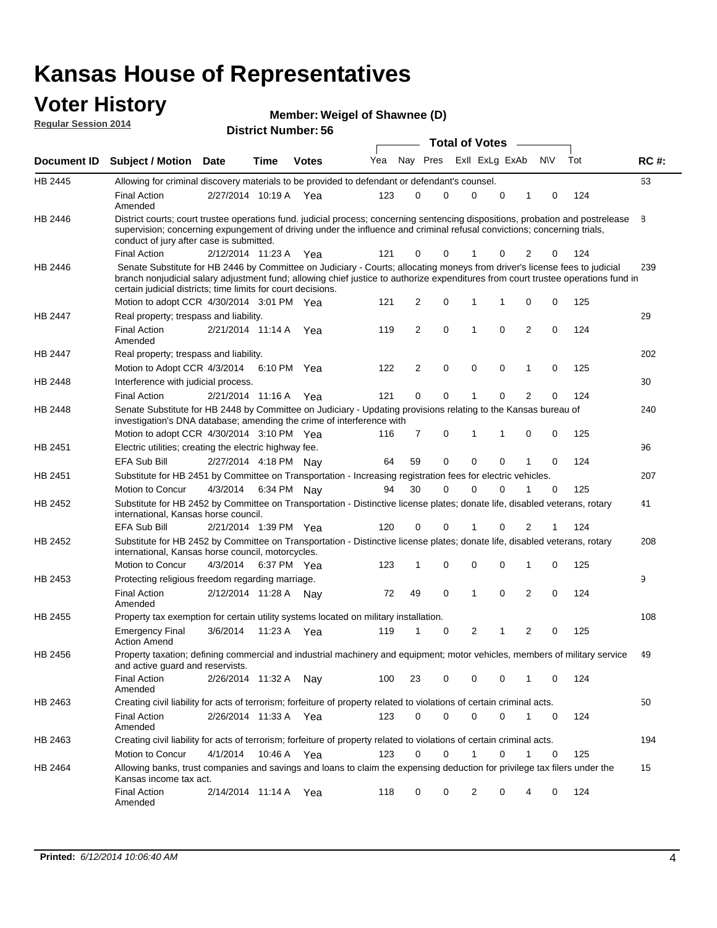#### **Voter History Regular Session 2014**

| Member: Weigel of Shawnee (D) |  |  |
|-------------------------------|--|--|
|-------------------------------|--|--|

|         |                                                                                                                                                                                                                                                                                                                                 |                       |      |              |     |                |   | <b>Total of Votes</b> |             |                |             |     |             |
|---------|---------------------------------------------------------------------------------------------------------------------------------------------------------------------------------------------------------------------------------------------------------------------------------------------------------------------------------|-----------------------|------|--------------|-----|----------------|---|-----------------------|-------------|----------------|-------------|-----|-------------|
|         | Document ID Subject / Motion Date                                                                                                                                                                                                                                                                                               |                       | Time | <b>Votes</b> | Yea | Nay Pres       |   | Exll ExLg ExAb        |             |                | <b>NV</b>   | Tot | <b>RC#:</b> |
| HB 2445 | Allowing for criminal discovery materials to be provided to defendant or defendant's counsel.                                                                                                                                                                                                                                   |                       |      |              |     |                |   |                       |             |                |             |     | 63          |
|         | <b>Final Action</b><br>Amended                                                                                                                                                                                                                                                                                                  | 2/27/2014 10:19 A     |      | Yea          | 123 | 0              | 0 | 0                     | 0           | 1              | 0           | 124 |             |
| HB 2446 | District courts; court trustee operations fund. judicial process; concerning sentencing dispositions, probation and postrelease<br>supervision; concerning expungement of driving under the influence and criminal refusal convictions; concerning trials,<br>conduct of jury after case is submitted.                          |                       |      |              |     |                |   |                       |             |                |             |     | 8           |
|         | <b>Final Action</b>                                                                                                                                                                                                                                                                                                             | 2/12/2014 11:23 A Yea |      |              | 121 | 0              | 0 | 1                     | 0           | 2              | 0           | 124 |             |
| HB 2446 | Senate Substitute for HB 2446 by Committee on Judiciary - Courts; allocating moneys from driver's license fees to judicial<br>branch nonjudicial salary adjustment fund; allowing chief justice to authorize expenditures from court trustee operations fund in<br>certain judicial districts; time limits for court decisions. |                       |      |              |     |                |   |                       |             |                |             |     | 239         |
|         | Motion to adopt CCR 4/30/2014 3:01 PM Yea                                                                                                                                                                                                                                                                                       |                       |      |              | 121 | 2              | 0 | 1                     | 1           | 0              | 0           | 125 |             |
| HB 2447 | Real property; trespass and liability.                                                                                                                                                                                                                                                                                          |                       |      |              |     |                |   |                       |             |                |             |     | 29          |
|         | <b>Final Action</b><br>Amended                                                                                                                                                                                                                                                                                                  | 2/21/2014 11:14 A     |      | Yea          | 119 | 2              | 0 | 1                     | 0           | $\overline{2}$ | 0           | 124 |             |
| HB 2447 | Real property; trespass and liability.                                                                                                                                                                                                                                                                                          |                       |      |              |     |                |   |                       |             |                |             |     | 202         |
|         | Motion to Adopt CCR 4/3/2014                                                                                                                                                                                                                                                                                                    |                       |      | 6:10 PM Yea  | 122 | $\overline{2}$ | 0 | 0                     | $\mathbf 0$ | $\mathbf 1$    | 0           | 125 |             |
| HB 2448 | Interference with judicial process.                                                                                                                                                                                                                                                                                             |                       |      |              |     |                |   |                       |             |                |             |     | 30          |
|         | <b>Final Action</b>                                                                                                                                                                                                                                                                                                             | 2/21/2014 11:16 A Yea |      |              | 121 | 0              | 0 | 1                     | 0           | $\overline{2}$ | 0           | 124 |             |
| HB 2448 | Senate Substitute for HB 2448 by Committee on Judiciary - Updating provisions relating to the Kansas bureau of<br>investigation's DNA database; amending the crime of interference with                                                                                                                                         |                       |      |              |     |                |   |                       |             |                |             |     | 240         |
|         | Motion to adopt CCR 4/30/2014 3:10 PM Yea                                                                                                                                                                                                                                                                                       |                       |      |              | 116 | 7              | 0 | 1                     | 1           | 0              | $\mathbf 0$ | 125 |             |
| HB 2451 | Electric utilities; creating the electric highway fee.                                                                                                                                                                                                                                                                          |                       |      |              |     |                |   |                       |             |                |             |     | 96          |
|         | <b>EFA Sub Bill</b>                                                                                                                                                                                                                                                                                                             | 2/27/2014 4:18 PM Nay |      |              | 64  | 59             | 0 | 0                     | 0           |                | $\mathbf 0$ | 124 |             |
| HB 2451 | Substitute for HB 2451 by Committee on Transportation - Increasing registration fees for electric vehicles.                                                                                                                                                                                                                     |                       |      |              |     |                |   |                       |             |                |             |     | 207         |
|         | Motion to Concur                                                                                                                                                                                                                                                                                                                | 4/3/2014              |      | 6:34 PM Nay  | 94  | 30             | 0 | $\Omega$              | 0           |                | 0           | 125 |             |
| HB 2452 | Substitute for HB 2452 by Committee on Transportation - Distinctive license plates; donate life, disabled veterans, rotary<br>international, Kansas horse council.                                                                                                                                                              |                       |      |              |     |                |   |                       |             |                |             |     | 41          |
|         | <b>EFA Sub Bill</b>                                                                                                                                                                                                                                                                                                             | 2/21/2014 1:39 PM Yea |      |              | 120 | 0              | 0 |                       | 0           | 2              | 1           | 124 |             |
| HB 2452 | Substitute for HB 2452 by Committee on Transportation - Distinctive license plates; donate life, disabled veterans, rotary<br>international, Kansas horse council, motorcycles.                                                                                                                                                 |                       |      |              |     |                |   |                       |             |                |             |     | 208         |
|         | Motion to Concur                                                                                                                                                                                                                                                                                                                | 4/3/2014              |      | 6:37 PM Yea  | 123 | 1              | 0 | 0                     | 0           | 1              | 0           | 125 |             |
| HB 2453 | Protecting religious freedom regarding marriage.                                                                                                                                                                                                                                                                                |                       |      |              |     |                |   |                       |             |                |             |     | 9           |
|         | <b>Final Action</b><br>Amended                                                                                                                                                                                                                                                                                                  | 2/12/2014 11:28 A     |      | Nav          | 72  | 49             | 0 | 1                     | 0           | $\overline{2}$ | 0           | 124 |             |
| HB 2455 | Property tax exemption for certain utility systems located on military installation.                                                                                                                                                                                                                                            |                       |      |              |     |                |   |                       |             |                |             |     | 108         |
|         | <b>Emergency Final</b><br><b>Action Amend</b>                                                                                                                                                                                                                                                                                   | 3/6/2014              |      | 11:23 A Yea  | 119 | 1              | 0 | 2                     |             | $\overline{2}$ | $\mathbf 0$ | 125 |             |
| HB 2456 | Property taxation; defining commercial and industrial machinery and equipment; motor vehicles, members of military service<br>and active guard and reservists.                                                                                                                                                                  |                       |      |              |     |                |   |                       |             |                |             |     | 49          |
|         | <b>Final Action</b><br>Amended                                                                                                                                                                                                                                                                                                  | 2/26/2014 11:32 A Nay |      |              | 100 | 23             | 0 | 0                     | 0           | 1              | 0           | 124 |             |
| HB 2463 | Creating civil liability for acts of terrorism; forfeiture of property related to violations of certain criminal acts.                                                                                                                                                                                                          |                       |      |              |     |                |   |                       |             |                |             |     | 50          |
|         | Final Action<br>Amended                                                                                                                                                                                                                                                                                                         | 2/26/2014 11:33 A Yea |      |              | 123 | 0              | 0 | 0                     | 0           | $\mathbf{1}$   | 0           | 124 |             |
| HB 2463 | Creating civil liability for acts of terrorism; forfeiture of property related to violations of certain criminal acts.                                                                                                                                                                                                          |                       |      |              |     |                |   |                       |             |                |             |     | 194         |
|         | Motion to Concur                                                                                                                                                                                                                                                                                                                | 4/1/2014              |      | 10:46 A Yea  | 123 | 0              | 0 | $\mathbf{1}$          | 0           | $\mathbf{1}$   | 0           | 125 |             |
| HB 2464 | Allowing banks, trust companies and savings and loans to claim the expensing deduction for privilege tax filers under the<br>Kansas income tax act.                                                                                                                                                                             |                       |      |              |     |                |   |                       |             |                |             |     | 15          |
|         | <b>Final Action</b><br>Amended                                                                                                                                                                                                                                                                                                  | 2/14/2014 11:14 A Yea |      |              | 118 | 0              | 0 | 2                     | 0           | 4              | 0           | 124 |             |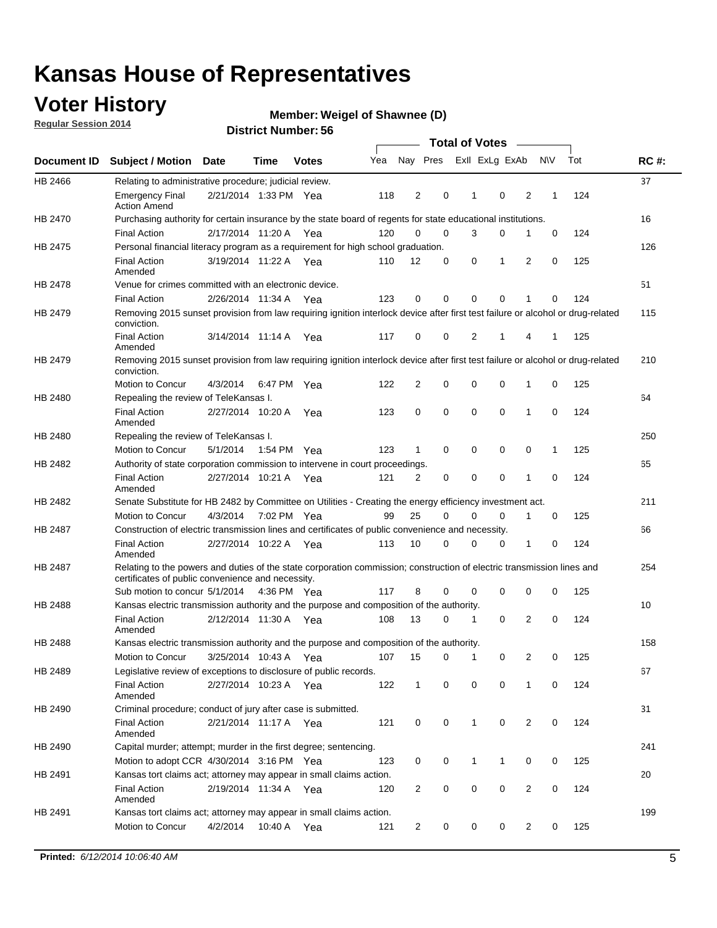### **Voter History**

**Regular Session 2014**

#### **Weigel of Shawnee (D)**

|                |                                                                                                                                                                             |                       |                   |              |     |                |             | <b>Total of Votes</b> |             |   |           |     |             |
|----------------|-----------------------------------------------------------------------------------------------------------------------------------------------------------------------------|-----------------------|-------------------|--------------|-----|----------------|-------------|-----------------------|-------------|---|-----------|-----|-------------|
|                | Document ID Subject / Motion                                                                                                                                                | <b>Date</b>           | Time              | <b>Votes</b> | Yea | Nay Pres       |             | Exll ExLg ExAb        |             |   | <b>NV</b> | Tot | <b>RC#:</b> |
| HB 2466        | Relating to administrative procedure; judicial review.                                                                                                                      |                       |                   |              |     |                |             |                       |             |   |           |     | 37          |
|                | <b>Emergency Final</b><br><b>Action Amend</b>                                                                                                                               | 2/21/2014 1:33 PM Yea |                   |              | 118 | 2              | 0           | 1                     | $\mathbf 0$ | 2 | 1         | 124 |             |
| HB 2470        | Purchasing authority for certain insurance by the state board of regents for state educational institutions.                                                                |                       |                   |              |     |                |             |                       |             |   |           |     | 16          |
|                | <b>Final Action</b>                                                                                                                                                         | 2/17/2014 11:20 A Yea |                   |              | 120 | $\mathbf 0$    | $\mathbf 0$ | 3                     | 0           | 1 | 0         | 124 |             |
| HB 2475        | Personal financial literacy program as a requirement for high school graduation.                                                                                            |                       |                   |              |     |                |             |                       |             |   |           |     | 126         |
|                | <b>Final Action</b><br>Amended                                                                                                                                              | 3/19/2014 11:22 A Yea |                   |              | 110 | 12             | 0           | 0                     | 1           | 2 | 0         | 125 |             |
| HB 2478        | Venue for crimes committed with an electronic device.                                                                                                                       |                       |                   |              |     |                |             |                       |             |   |           |     | 51          |
|                | <b>Final Action</b>                                                                                                                                                         | 2/26/2014 11:34 A     |                   | Yea          | 123 | 0              | 0           | $\mathbf 0$           | $\mathbf 0$ | 1 | 0         | 124 |             |
| HB 2479        | Removing 2015 sunset provision from law requiring ignition interlock device after first test failure or alcohol or drug-related<br>conviction.                              |                       |                   |              |     |                |             |                       |             |   |           |     | 115         |
|                | <b>Final Action</b><br>Amended                                                                                                                                              | 3/14/2014 11:14 A     |                   | Yea          | 117 | $\mathbf 0$    | 0           | 2                     | 1           | 4 | 1         | 125 |             |
| HB 2479        | Removing 2015 sunset provision from law requiring ignition interlock device after first test failure or alcohol or drug-related<br>conviction.                              |                       |                   |              |     |                |             |                       |             |   |           |     | 210         |
|                | Motion to Concur                                                                                                                                                            | 4/3/2014              |                   | 6:47 PM Yea  | 122 | $\overline{2}$ | 0           | 0                     | $\mathbf 0$ | 1 | 0         | 125 |             |
| HB 2480        | Repealing the review of TeleKansas I.                                                                                                                                       |                       |                   |              |     |                |             |                       |             |   |           |     | 64          |
|                | <b>Final Action</b><br>Amended                                                                                                                                              | 2/27/2014 10:20 A     |                   | Yea          | 123 | 0              | $\mathbf 0$ | $\mathbf 0$           | $\mathbf 0$ | 1 | 0         | 124 |             |
| HB 2480        | Repealing the review of TeleKansas I.                                                                                                                                       |                       |                   |              |     |                |             |                       |             |   |           |     | 250         |
|                | Motion to Concur                                                                                                                                                            | 5/1/2014              |                   | 1:54 PM Yea  | 123 | 1              | 0           | 0                     | 0           | 0 | 1         | 125 |             |
| HB 2482        | Authority of state corporation commission to intervene in court proceedings.                                                                                                |                       |                   |              |     |                |             |                       |             |   |           |     | 65          |
|                | <b>Final Action</b><br>Amended                                                                                                                                              | 2/27/2014 10:21 A     |                   | Yea          | 121 | 2              | 0           | $\mathbf 0$           | $\mathbf 0$ | 1 | 0         | 124 |             |
| HB 2482        | Senate Substitute for HB 2482 by Committee on Utilities - Creating the energy efficiency investment act.                                                                    |                       |                   |              |     |                |             |                       |             |   |           |     | 211         |
|                | Motion to Concur                                                                                                                                                            | 4/3/2014 7:02 PM Yea  |                   |              | 99  | 25             | $\Omega$    | 0                     | $\mathbf 0$ | 1 | 0         | 125 |             |
| <b>HB 2487</b> | Construction of electric transmission lines and certificates of public convenience and necessity.                                                                           |                       |                   |              |     |                |             |                       |             |   |           |     | 66          |
|                | <b>Final Action</b><br>Amended                                                                                                                                              | 2/27/2014 10:22 A Yea |                   |              | 113 | 10             | 0           | $\mathbf 0$           | 0           | 1 | 0         | 124 |             |
| HB 2487        | Relating to the powers and duties of the state corporation commission; construction of electric transmission lines and<br>certificates of public convenience and necessity. |                       |                   |              |     |                |             |                       |             |   |           |     | 254         |
|                | Sub motion to concur 5/1/2014                                                                                                                                               |                       |                   | 4:36 PM Yea  | 117 | 8              | 0           | 0                     | 0           | 0 | 0         | 125 |             |
| <b>HB 2488</b> | Kansas electric transmission authority and the purpose and composition of the authority.                                                                                    |                       |                   |              |     |                |             |                       |             |   |           |     | 10          |
|                | <b>Final Action</b><br>Amended                                                                                                                                              | 2/12/2014 11:30 A     |                   | Yea          | 108 | 13             | 0           | 1                     | $\mathbf 0$ | 2 | 0         | 124 |             |
| <b>HB 2488</b> | Kansas electric transmission authority and the purpose and composition of the authority.                                                                                    |                       |                   |              |     |                |             |                       |             |   |           |     | 158         |
|                | Motion to Concur                                                                                                                                                            |                       | 3/25/2014 10:43 A | Yea          | 107 | 15             | 0           | $\mathbf 1$           | 0           | 2 | 0         | 125 |             |
| HB 2489        | Legislative review of exceptions to disclosure of public records.                                                                                                           |                       |                   |              |     |                |             |                       |             |   |           |     | 67          |
|                | <b>Final Action</b><br>Amended                                                                                                                                              | 2/27/2014 10:23 A Yea |                   |              | 122 | $\mathbf 1$    | 0           | 0                     | 0           | 1 | 0         | 124 |             |
| HB 2490        | Criminal procedure; conduct of jury after case is submitted.                                                                                                                |                       |                   |              |     |                |             |                       |             |   |           |     | 31          |
|                | <b>Final Action</b><br>Amended                                                                                                                                              | 2/21/2014 11:17 A Yea |                   |              | 121 | 0              | 0           | $\mathbf{1}$          | $\mathbf 0$ | 2 | 0         | 124 |             |
| HB 2490        | Capital murder; attempt; murder in the first degree; sentencing.                                                                                                            |                       |                   |              |     |                |             |                       |             |   |           |     | 241         |
|                | Motion to adopt CCR 4/30/2014 3:16 PM Yea                                                                                                                                   |                       |                   |              | 123 | 0              | 0           | 1                     | 1           | 0 | 0         | 125 |             |
| HB 2491        | Kansas tort claims act; attorney may appear in small claims action.                                                                                                         |                       |                   |              |     |                |             |                       |             |   |           |     | 20          |
|                | <b>Final Action</b><br>Amended                                                                                                                                              | 2/19/2014 11:34 A Yea |                   |              | 120 | $\overline{c}$ | 0           | 0                     | 0           | 2 | 0         | 124 |             |
| HB 2491        | Kansas tort claims act; attorney may appear in small claims action.                                                                                                         |                       |                   |              |     |                |             |                       |             |   |           |     | 199         |
|                | Motion to Concur                                                                                                                                                            | 4/2/2014              |                   | 10:40 A Yea  | 121 | 2              | 0           | 0                     | 0           | 2 | 0         | 125 |             |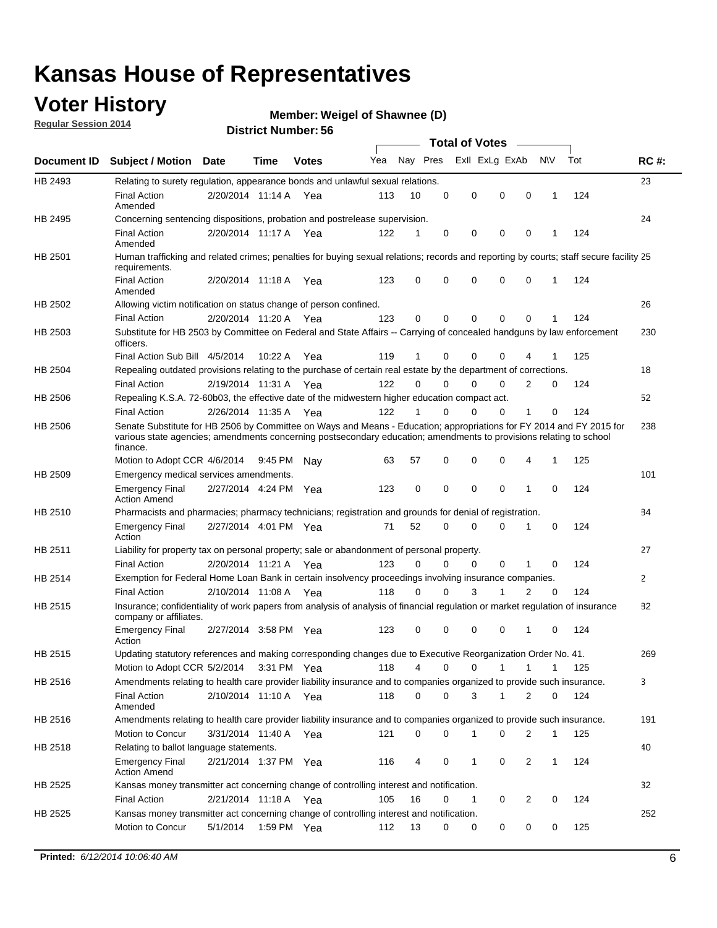### **Voter History**

**Regular Session 2014**

#### **Weigel of Shawnee (D)**

|                    |                                                                                                                                                                                                                                                        |                       |             | DISTILICI MUITIDEL 30 |     |          |          | Total of Votes – |                   |                               |     |              |
|--------------------|--------------------------------------------------------------------------------------------------------------------------------------------------------------------------------------------------------------------------------------------------------|-----------------------|-------------|-----------------------|-----|----------|----------|------------------|-------------------|-------------------------------|-----|--------------|
| <b>Document ID</b> | <b>Subject / Motion Date</b>                                                                                                                                                                                                                           |                       | <b>Time</b> | <b>Votes</b>          | Yea | Nay Pres |          | Exll ExLg ExAb   |                   | N\V                           | Tot | <b>RC#:</b>  |
| HB 2493            | Relating to surety regulation, appearance bonds and unlawful sexual relations.                                                                                                                                                                         |                       |             |                       |     |          |          |                  |                   |                               |     | 23           |
|                    | <b>Final Action</b><br>Amended                                                                                                                                                                                                                         | 2/20/2014 11:14 A Yea |             |                       | 113 | 10       | 0        | 0                | $\mathbf 0$       | $\mathbf 0$<br>$\mathbf 1$    | 124 |              |
| HB 2495            | Concerning sentencing dispositions, probation and postrelease supervision.                                                                                                                                                                             |                       |             |                       |     |          |          |                  |                   |                               |     | 24           |
|                    | <b>Final Action</b><br>Amended                                                                                                                                                                                                                         | 2/20/2014 11:17 A     |             | Yea                   | 122 | 1        | 0        | 0                | 0                 | $\mathbf 0$<br>1              | 124 |              |
| HB 2501            | Human trafficking and related crimes; penalties for buying sexual relations; records and reporting by courts; staff secure facility 25<br>requirements.                                                                                                |                       |             |                       |     |          |          |                  |                   |                               |     |              |
|                    | <b>Final Action</b><br>Amended                                                                                                                                                                                                                         | 2/20/2014 11:18 A Yea |             |                       | 123 | 0        | 0        | 0                | 0                 | $\mathbf 0$<br>1              | 124 |              |
| HB 2502            | Allowing victim notification on status change of person confined.                                                                                                                                                                                      |                       |             |                       |     |          |          |                  |                   |                               |     | 26           |
|                    | <b>Final Action</b>                                                                                                                                                                                                                                    | 2/20/2014 11:20 A Yea |             |                       | 123 | 0        | 0        | 0                | 0                 | $\mathbf 0$                   | 124 |              |
| HB 2503            | Substitute for HB 2503 by Committee on Federal and State Affairs -- Carrying of concealed handguns by law enforcement<br>officers.                                                                                                                     |                       |             |                       |     |          |          |                  |                   |                               |     | 230          |
|                    | Final Action Sub Bill 4/5/2014                                                                                                                                                                                                                         |                       | 10:22A      | Yea                   | 119 | 1        | 0        | 0                | 0                 |                               | 125 |              |
| HB 2504            | Repealing outdated provisions relating to the purchase of certain real estate by the department of corrections.                                                                                                                                        |                       |             |                       |     |          |          |                  |                   |                               |     | 18           |
|                    | <b>Final Action</b>                                                                                                                                                                                                                                    | 2/19/2014 11:31 A     |             | Yea                   | 122 | $\Omega$ | 0        | 0                | 0                 | 2<br>0                        | 124 |              |
| HB 2506            | Repealing K.S.A. 72-60b03, the effective date of the midwestern higher education compact act.                                                                                                                                                          |                       |             |                       |     |          |          |                  |                   |                               |     | 52           |
|                    | <b>Final Action</b>                                                                                                                                                                                                                                    | 2/26/2014 11:35 A Yea |             |                       | 122 | 1        | 0        | 0                | 0<br>1            | 0                             | 124 |              |
| HB 2506            | Senate Substitute for HB 2506 by Committee on Ways and Means - Education; appropriations for FY 2014 and FY 2015 for<br>various state agencies; amendments concerning postsecondary education; amendments to provisions relating to school<br>finance. |                       |             |                       |     |          |          |                  |                   |                               |     | 238          |
|                    | Motion to Adopt CCR 4/6/2014                                                                                                                                                                                                                           |                       | 9:45 PM     | Nav                   | 63  | 57       | 0        | 0                | 0                 | 4<br>$\mathbf 1$              | 125 |              |
| HB 2509            | Emergency medical services amendments.                                                                                                                                                                                                                 |                       |             |                       |     |          |          |                  |                   |                               |     | 101          |
|                    | <b>Emergency Final</b><br><b>Action Amend</b>                                                                                                                                                                                                          | 2/27/2014 4:24 PM Yea |             |                       | 123 | 0        | $\Omega$ | $\mathbf 0$      | $\mathbf{0}$<br>1 | $\Omega$                      | 124 |              |
| HB 2510            | Pharmacists and pharmacies; pharmacy technicians; registration and grounds for denial of registration.                                                                                                                                                 |                       |             |                       |     |          |          |                  |                   |                               |     | 84           |
|                    | <b>Emergency Final</b><br>Action                                                                                                                                                                                                                       | 2/27/2014 4:01 PM Yea |             |                       | 71  | 52       | 0        | 0                | 0<br>1            | 0                             | 124 |              |
| HB 2511            | Liability for property tax on personal property; sale or abandonment of personal property.                                                                                                                                                             |                       |             |                       |     |          |          |                  |                   |                               |     | 27           |
|                    | <b>Final Action</b>                                                                                                                                                                                                                                    | 2/20/2014 11:21 A     |             | Yea                   | 123 | 0        | 0        | 0                | 0                 | 1<br>0                        | 124 |              |
| HB 2514            | Exemption for Federal Home Loan Bank in certain insolvency proceedings involving insurance companies.                                                                                                                                                  |                       |             |                       |     |          |          |                  |                   |                               |     | $\mathbf{2}$ |
|                    | <b>Final Action</b>                                                                                                                                                                                                                                    | 2/10/2014 11:08 A     |             | Yea                   | 118 | 0        | $\Omega$ | 3                | 1                 | $\overline{2}$<br>$\mathbf 0$ | 124 |              |
| HB 2515            | Insurance; confidentiality of work papers from analysis of analysis of financial regulation or market regulation of insurance<br>company or affiliates.                                                                                                |                       |             |                       |     |          |          |                  |                   |                               |     | 82           |
|                    | <b>Emergency Final</b><br>Action                                                                                                                                                                                                                       | 2/27/2014 3:58 PM Yea |             |                       | 123 | 0        | 0        | 0                | 0<br>-1           | 0                             | 124 |              |
| HB 2515            | Updating statutory references and making corresponding changes due to Executive Reorganization Order No. 41.                                                                                                                                           |                       |             |                       |     |          |          |                  |                   |                               |     | 269          |
|                    | Motion to Adopt CCR 5/2/2014 3:31 PM Yea                                                                                                                                                                                                               |                       |             |                       | 118 | 4        | 0        | 0                | 1<br>1            | 1                             | 125 |              |
| HB 2516            | Amendments relating to health care provider liability insurance and to companies organized to provide such insurance.                                                                                                                                  |                       |             |                       |     |          |          |                  |                   |                               |     | 3            |
|                    | <b>Final Action</b><br>Amended                                                                                                                                                                                                                         | 2/10/2014 11:10 A Yea |             |                       | 118 | 0        | 0        | 3                | 1                 | 2<br>0                        | 124 |              |
| HB 2516            | Amendments relating to health care provider liability insurance and to companies organized to provide such insurance.                                                                                                                                  |                       |             |                       |     |          |          |                  |                   |                               |     | 191          |
|                    | <b>Motion to Concur</b>                                                                                                                                                                                                                                | 3/31/2014 11:40 A Yea |             |                       | 121 | 0        | 0        | 1                | 0                 | 2<br>$\mathbf 1$              | 125 |              |
| HB 2518            | Relating to ballot language statements.                                                                                                                                                                                                                |                       |             |                       |     |          |          |                  |                   |                               |     | 40           |
|                    | <b>Emergency Final</b><br><b>Action Amend</b>                                                                                                                                                                                                          | 2/21/2014 1:37 PM Yea |             |                       | 116 | 4        | 0        | 1                | 0                 | 2<br>$\mathbf{1}$             | 124 |              |
| HB 2525            | Kansas money transmitter act concerning change of controlling interest and notification.                                                                                                                                                               |                       |             |                       |     |          |          |                  |                   |                               |     | 32           |
|                    | <b>Final Action</b>                                                                                                                                                                                                                                    | 2/21/2014 11:18 A Yea |             |                       | 105 | 16       | 0        | 1                | 0                 | 2<br>0                        | 124 |              |
| HB 2525            | Kansas money transmitter act concerning change of controlling interest and notification.                                                                                                                                                               |                       |             |                       |     |          |          |                  |                   |                               |     | 252          |
|                    | Motion to Concur                                                                                                                                                                                                                                       | 5/1/2014              | 1:59 PM Yea |                       | 112 | 13       | 0        | 0                | 0                 | 0<br>0                        | 125 |              |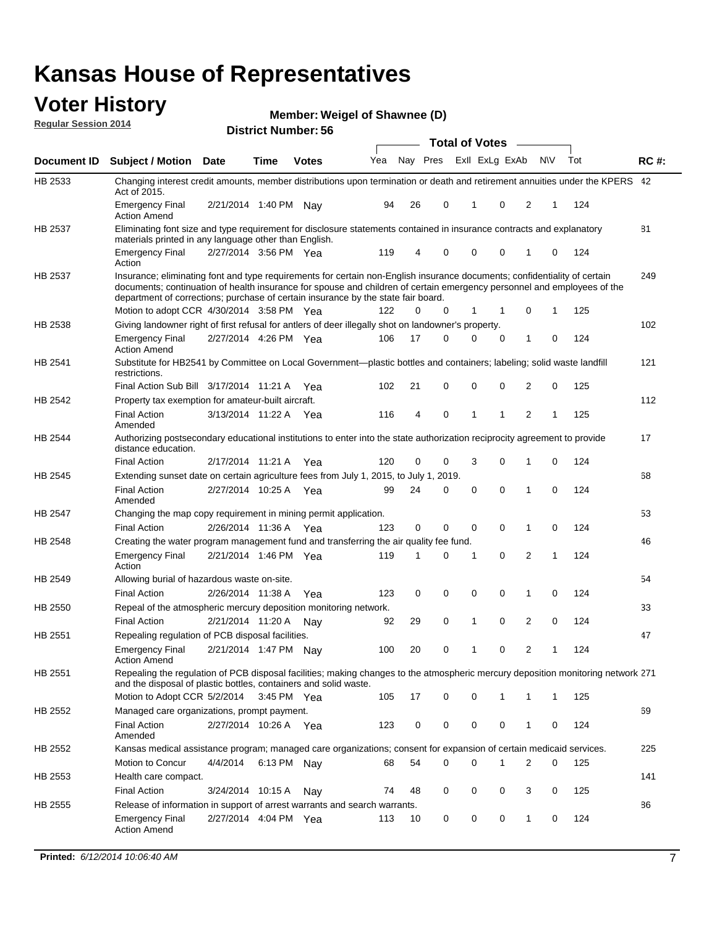#### **Voter History Regular Session 2014**

**Weigel of Shawnee (D)**

|                    |                                                                                                                                                                                                                                                                                                                                           |                       |             | DISTILICI MUITIDEL. 30 |     |    |             | <b>Total of Votes</b> |                |                |     |     |             |
|--------------------|-------------------------------------------------------------------------------------------------------------------------------------------------------------------------------------------------------------------------------------------------------------------------------------------------------------------------------------------|-----------------------|-------------|------------------------|-----|----|-------------|-----------------------|----------------|----------------|-----|-----|-------------|
| <b>Document ID</b> | <b>Subject / Motion</b>                                                                                                                                                                                                                                                                                                                   | <b>Date</b>           | Time        | <b>Votes</b>           | Yea |    | Nay Pres    |                       | Exll ExLg ExAb |                | N\V | Tot | <b>RC#:</b> |
| HB 2533            | Changing interest credit amounts, member distributions upon termination or death and retirement annuities under the KPERS 42<br>Act of 2015.                                                                                                                                                                                              |                       |             |                        |     |    |             |                       |                |                |     |     |             |
|                    | <b>Emergency Final</b><br><b>Action Amend</b>                                                                                                                                                                                                                                                                                             | 2/21/2014 1:40 PM     |             | Nav                    | 94  | 26 | 0           | 1                     | 0              | 2              | 1   | 124 |             |
| HB 2537            | Eliminating font size and type requirement for disclosure statements contained in insurance contracts and explanatory<br>materials printed in any language other than English.                                                                                                                                                            |                       |             |                        |     |    |             |                       |                |                |     |     | 81          |
|                    | <b>Emergency Final</b><br>Action                                                                                                                                                                                                                                                                                                          | 2/27/2014 3:56 PM Yea |             |                        | 119 | 4  | 0           | $\mathbf 0$           | $\mathbf 0$    | 1              | 0   | 124 |             |
| HB 2537            | Insurance; eliminating font and type requirements for certain non-English insurance documents; confidentiality of certain<br>documents; continuation of health insurance for spouse and children of certain emergency personnel and employees of the<br>department of corrections; purchase of certain insurance by the state fair board. |                       |             |                        |     |    |             |                       |                |                |     |     | 249         |
|                    | Motion to adopt CCR 4/30/2014 3:58 PM Yea                                                                                                                                                                                                                                                                                                 |                       |             |                        | 122 | 0  | 0           | 1                     | 1              | 0              | 1   | 125 |             |
| HB 2538            | Giving landowner right of first refusal for antlers of deer illegally shot on landowner's property.                                                                                                                                                                                                                                       |                       |             |                        |     |    |             |                       |                |                |     |     | 102         |
|                    | <b>Emergency Final</b><br><b>Action Amend</b>                                                                                                                                                                                                                                                                                             | 2/27/2014 4:26 PM Yea |             |                        | 106 | 17 | 0           | $\mathbf 0$           | 0              | 1              | 0   | 124 |             |
| HB 2541            | Substitute for HB2541 by Committee on Local Government—plastic bottles and containers; labeling; solid waste landfill<br>restrictions.                                                                                                                                                                                                    |                       |             |                        |     |    |             |                       |                |                |     |     | 121         |
|                    | Final Action Sub Bill 3/17/2014 11:21 A Yea                                                                                                                                                                                                                                                                                               |                       |             |                        | 102 | 21 | 0           | $\mathbf 0$           | 0              | 2              | 0   | 125 |             |
| HB 2542            | Property tax exemption for amateur-built aircraft.                                                                                                                                                                                                                                                                                        |                       |             |                        |     |    |             |                       |                |                |     |     | 112         |
|                    | <b>Final Action</b><br>Amended                                                                                                                                                                                                                                                                                                            | 3/13/2014 11:22 A Yea |             |                        | 116 | 4  | $\mathbf 0$ | $\mathbf{1}$          | 1              | $\overline{2}$ | 1   | 125 |             |
| <b>HB 2544</b>     | Authorizing postsecondary educational institutions to enter into the state authorization reciprocity agreement to provide<br>distance education.                                                                                                                                                                                          |                       |             |                        |     |    |             |                       |                |                |     |     | 17          |
|                    | <b>Final Action</b>                                                                                                                                                                                                                                                                                                                       | 2/17/2014 11:21 A Yea |             |                        | 120 | 0  | 0           | 3                     | 0              | 1              | 0   | 124 |             |
| HB 2545            | Extending sunset date on certain agriculture fees from July 1, 2015, to July 1, 2019.                                                                                                                                                                                                                                                     |                       |             |                        |     |    |             |                       |                |                |     |     | 68          |
|                    | <b>Final Action</b><br>Amended                                                                                                                                                                                                                                                                                                            | 2/27/2014 10:25 A Yea |             |                        | 99  | 24 | 0           | $\mathbf 0$           | $\Omega$       | 1              | 0   | 124 |             |
| HB 2547            | Changing the map copy requirement in mining permit application.                                                                                                                                                                                                                                                                           |                       |             |                        |     |    |             |                       |                |                |     |     | 53          |
|                    | <b>Final Action</b>                                                                                                                                                                                                                                                                                                                       | 2/26/2014 11:36 A     |             | Yea                    | 123 | 0  | 0           | 0                     | 0              | 1              | 0   | 124 |             |
| HB 2548            | Creating the water program management fund and transferring the air quality fee fund.                                                                                                                                                                                                                                                     |                       |             |                        |     |    |             |                       |                |                |     |     | 46          |
|                    | <b>Emergency Final</b><br>Action                                                                                                                                                                                                                                                                                                          | 2/21/2014 1:46 PM Yea |             |                        | 119 | 1  | 0           | 1                     | $\mathbf 0$    | 2              | 1   | 124 |             |
| HB 2549            | Allowing burial of hazardous waste on-site.                                                                                                                                                                                                                                                                                               |                       |             |                        |     |    |             |                       |                |                |     |     | 54          |
|                    | <b>Final Action</b>                                                                                                                                                                                                                                                                                                                       | 2/26/2014 11:38 A     |             | Yea                    | 123 | 0  | 0           | $\mathbf 0$           | 0              | 1              | 0   | 124 |             |
| HB 2550            | Repeal of the atmospheric mercury deposition monitoring network.                                                                                                                                                                                                                                                                          |                       |             |                        |     |    |             |                       |                |                |     |     | 33          |
|                    | <b>Final Action</b>                                                                                                                                                                                                                                                                                                                       | 2/21/2014 11:20 A     |             | Nav                    | 92  | 29 | 0           | 1                     | $\mathbf 0$    | 2              | 0   | 124 |             |
| HB 2551            | Repealing regulation of PCB disposal facilities.                                                                                                                                                                                                                                                                                          |                       |             |                        |     |    |             |                       |                |                |     |     | 47          |
|                    | <b>Emergency Final</b><br><b>Action Amend</b>                                                                                                                                                                                                                                                                                             | 2/21/2014 1:47 PM Nay |             |                        | 100 | 20 | 0           | 1                     | 0              | 2              | 1   | 124 |             |
| HB 2551            | Repealing the regulation of PCB disposal facilities; making changes to the atmospheric mercury deposition monitoring network 271<br>and the disposal of plastic bottles, containers and solid waste.                                                                                                                                      |                       |             |                        |     |    |             |                       |                |                |     |     |             |
|                    | Motion to Adopt CCR 5/2/2014                                                                                                                                                                                                                                                                                                              |                       | 3:45 PM Yea |                        | 105 | 17 | 0           | $\mathbf 0$           | 1              | 1              | 1   | 125 |             |
| HB 2552            | Managed care organizations, prompt payment.                                                                                                                                                                                                                                                                                               |                       |             |                        |     |    |             |                       |                |                |     |     | 69          |
|                    | <b>Final Action</b><br>Amended                                                                                                                                                                                                                                                                                                            | 2/27/2014 10:26 A Yea |             |                        | 123 | 0  | 0           | 0                     | 0              | 1              | 0   | 124 |             |
| HB 2552            | Kansas medical assistance program; managed care organizations; consent for expansion of certain medicaid services.                                                                                                                                                                                                                        |                       |             |                        |     |    |             |                       |                |                |     |     | 225         |
|                    | Motion to Concur                                                                                                                                                                                                                                                                                                                          | 4/4/2014              | 6:13 PM Nay |                        | 68  | 54 | 0           | $\mathbf 0$           | 1              | 2              | 0   | 125 |             |
| HB 2553            | Health care compact.                                                                                                                                                                                                                                                                                                                      |                       |             |                        |     |    |             |                       |                |                |     |     | 141         |
|                    | <b>Final Action</b>                                                                                                                                                                                                                                                                                                                       | 3/24/2014 10:15 A     |             | Nay                    | 74  | 48 | 0           | 0                     | 0              | 3              | 0   | 125 |             |
| HB 2555            | Release of information in support of arrest warrants and search warrants.                                                                                                                                                                                                                                                                 |                       |             |                        |     |    |             |                       |                |                |     |     | 86          |
|                    | <b>Emergency Final</b><br><b>Action Amend</b>                                                                                                                                                                                                                                                                                             | 2/27/2014 4:04 PM Yea |             |                        | 113 | 10 | 0           | 0                     | 0              | $\mathbf{1}$   | 0   | 124 |             |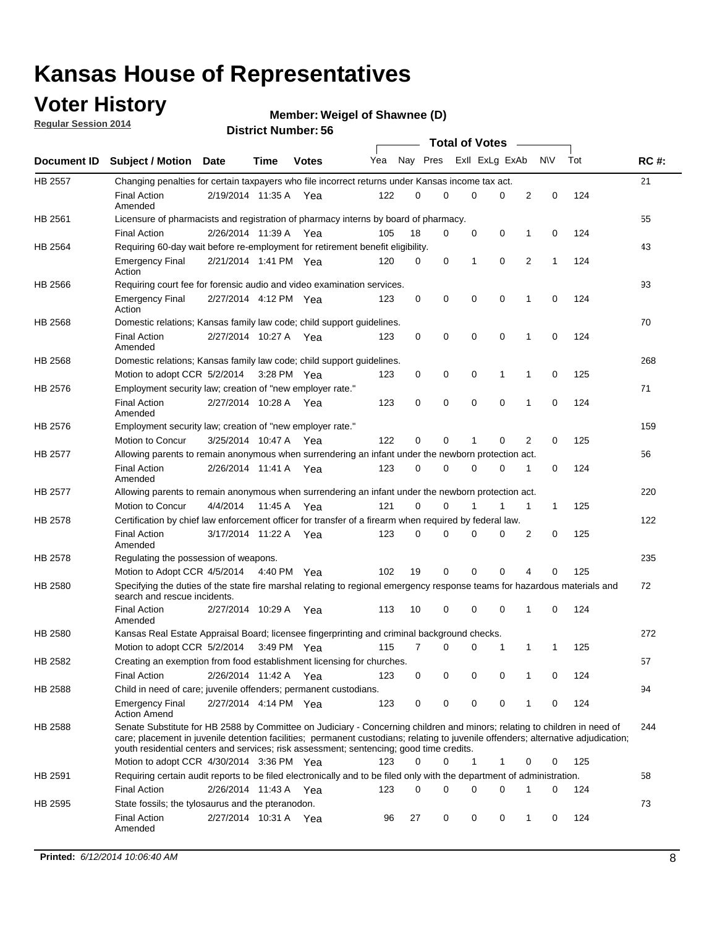### **Voter History**

**Regular Session 2014**

#### **Weigel of Shawnee (D)**

|         |                                                                                                                                                                                                                                                                                                                                                           |                       |         |              |     |          |          | <b>Total of Votes</b> |             |              |             |     |             |
|---------|-----------------------------------------------------------------------------------------------------------------------------------------------------------------------------------------------------------------------------------------------------------------------------------------------------------------------------------------------------------|-----------------------|---------|--------------|-----|----------|----------|-----------------------|-------------|--------------|-------------|-----|-------------|
|         | Document ID Subject / Motion Date                                                                                                                                                                                                                                                                                                                         |                       | Time    | <b>Votes</b> | Yea | Nay Pres |          | Exll ExLg ExAb        |             |              | N\V         | Tot | <b>RC#:</b> |
| HB 2557 | Changing penalties for certain taxpayers who file incorrect returns under Kansas income tax act.                                                                                                                                                                                                                                                          |                       |         |              |     |          |          |                       |             |              |             |     | 21          |
|         | <b>Final Action</b><br>Amended                                                                                                                                                                                                                                                                                                                            | 2/19/2014 11:35 A     |         | Yea          | 122 | 0        | 0        | 0                     | 0           | 2            | $\mathbf 0$ | 124 |             |
| HB 2561 | Licensure of pharmacists and registration of pharmacy interns by board of pharmacy.                                                                                                                                                                                                                                                                       |                       |         |              |     |          |          |                       |             |              |             |     | 55          |
|         | <b>Final Action</b>                                                                                                                                                                                                                                                                                                                                       | 2/26/2014 11:39 A Yea |         |              | 105 | 18       | 0        | 0                     | 0           | 1            | 0           | 124 |             |
| HB 2564 | Requiring 60-day wait before re-employment for retirement benefit eligibility.                                                                                                                                                                                                                                                                            |                       |         |              |     |          |          |                       |             |              |             |     | 43          |
|         | <b>Emergency Final</b><br>Action                                                                                                                                                                                                                                                                                                                          | 2/21/2014 1:41 PM Yea |         |              | 120 | 0        | 0        | 1                     | 0           | 2            | 1           | 124 |             |
| HB 2566 | Requiring court fee for forensic audio and video examination services.                                                                                                                                                                                                                                                                                    |                       |         |              |     |          |          |                       |             |              |             |     | 93          |
|         | <b>Emergency Final</b><br>Action                                                                                                                                                                                                                                                                                                                          | 2/27/2014 4:12 PM Yea |         |              | 123 | 0        | 0        | $\mathbf 0$           | $\mathbf 0$ | $\mathbf{1}$ | 0           | 124 |             |
| HB 2568 | Domestic relations; Kansas family law code; child support guidelines.                                                                                                                                                                                                                                                                                     |                       |         |              |     |          |          |                       |             |              |             |     | 70          |
|         | <b>Final Action</b><br>Amended                                                                                                                                                                                                                                                                                                                            | 2/27/2014 10:27 A     |         | Yea          | 123 | 0        | 0        | 0                     | $\mathbf 0$ | 1            | 0           | 124 |             |
| HB 2568 | Domestic relations; Kansas family law code; child support guidelines.                                                                                                                                                                                                                                                                                     |                       |         |              |     |          |          |                       |             |              |             |     | 268         |
|         | Motion to adopt CCR 5/2/2014                                                                                                                                                                                                                                                                                                                              |                       |         | 3:28 PM Yea  | 123 | 0        | 0        | 0                     | 1           | 1            | 0           | 125 |             |
| HB 2576 | Employment security law; creation of "new employer rate."                                                                                                                                                                                                                                                                                                 |                       |         |              |     |          |          |                       |             |              |             |     | 71          |
|         | <b>Final Action</b><br>Amended                                                                                                                                                                                                                                                                                                                            | 2/27/2014 10:28 A     |         | Yea          | 123 | 0        | 0        | 0                     | $\mathbf 0$ | 1            | 0           | 124 |             |
| HB 2576 | Employment security law; creation of "new employer rate."                                                                                                                                                                                                                                                                                                 |                       |         |              |     |          |          |                       |             |              |             |     | 159         |
|         | Motion to Concur                                                                                                                                                                                                                                                                                                                                          | 3/25/2014 10:47 A     |         | Yea          | 122 | 0        | 0        | 1                     | 0           | 2            | 0           | 125 |             |
| HB 2577 | Allowing parents to remain anonymous when surrendering an infant under the newborn protection act.                                                                                                                                                                                                                                                        |                       |         |              |     |          |          |                       |             |              |             |     | 56          |
|         | <b>Final Action</b><br>Amended                                                                                                                                                                                                                                                                                                                            | 2/26/2014 11:41 A Yea |         |              | 123 | 0        | $\Omega$ | 0                     | 0           | 1            | 0           | 124 |             |
| HB 2577 | Allowing parents to remain anonymous when surrendering an infant under the newborn protection act.                                                                                                                                                                                                                                                        |                       |         |              |     |          |          |                       |             |              |             |     | 220         |
|         | Motion to Concur                                                                                                                                                                                                                                                                                                                                          | 4/4/2014              | 11:45 A | Yea          | 121 | 0        | 0        |                       | 1           | 1            | $\mathbf 1$ | 125 |             |
| HB 2578 | Certification by chief law enforcement officer for transfer of a firearm when required by federal law.                                                                                                                                                                                                                                                    |                       |         |              |     |          |          |                       |             |              |             |     | 122         |
|         | <b>Final Action</b><br>Amended                                                                                                                                                                                                                                                                                                                            | 3/17/2014 11:22 A     |         | Yea          | 123 | 0        | 0        | $\Omega$              | $\Omega$    | 2            | 0           | 125 |             |
| HB 2578 | Regulating the possession of weapons.                                                                                                                                                                                                                                                                                                                     |                       |         |              |     |          |          |                       |             |              |             |     | 235         |
|         | Motion to Adopt CCR 4/5/2014 4:40 PM Yea                                                                                                                                                                                                                                                                                                                  |                       |         |              | 102 | 19       | 0        | 0                     | 0           | 4            | 0           | 125 |             |
| HB 2580 | Specifying the duties of the state fire marshal relating to regional emergency response teams for hazardous materials and<br>search and rescue incidents.                                                                                                                                                                                                 |                       |         |              |     |          |          |                       |             |              |             |     | 72          |
|         | <b>Final Action</b><br>Amended                                                                                                                                                                                                                                                                                                                            | 2/27/2014 10:29 A     |         | Yea          | 113 | 10       | 0        | $\mathbf 0$           | $\mathbf 0$ | 1            | 0           | 124 |             |
| HB 2580 | Kansas Real Estate Appraisal Board; licensee fingerprinting and criminal background checks.                                                                                                                                                                                                                                                               |                       |         |              |     |          |          |                       |             |              |             |     | 272         |
|         | Motion to adopt CCR 5/2/2014                                                                                                                                                                                                                                                                                                                              |                       |         | 3:49 PM Yea  | 115 | 7        | 0        | 0                     | 1           | 1            | 1           | 125 |             |
| HB 2582 | Creating an exemption from food establishment licensing for churches.                                                                                                                                                                                                                                                                                     |                       |         |              |     |          |          |                       |             |              |             |     | 57          |
|         | <b>Final Action</b>                                                                                                                                                                                                                                                                                                                                       | 2/26/2014 11:42 A Yea |         |              | 123 | 0        | 0        | 0                     | 0           |              | 0           | 124 |             |
| HB 2588 | Child in need of care; juvenile offenders; permanent custodians.                                                                                                                                                                                                                                                                                          |                       |         |              |     |          |          |                       |             |              |             |     | 94          |
|         | <b>Emergency Final</b><br><b>Action Amend</b>                                                                                                                                                                                                                                                                                                             | 2/27/2014 4:14 PM Yea |         |              | 123 | 0        | 0        | 0                     | 0           | 1            | 0           | 124 |             |
| HB 2588 | Senate Substitute for HB 2588 by Committee on Judiciary - Concerning children and minors; relating to children in need of<br>care; placement in juvenile detention facilities; permanent custodians; relating to juvenile offenders; alternative adjudication;<br>youth residential centers and services; risk assessment; sentencing; good time credits. |                       |         |              |     |          |          |                       |             |              |             |     | 244         |
|         | Motion to adopt CCR 4/30/2014 3:36 PM Yea                                                                                                                                                                                                                                                                                                                 |                       |         |              | 123 | 0        | 0        | 1                     | 1           | 0            | 0           | 125 |             |
| HB 2591 | Requiring certain audit reports to be filed electronically and to be filed only with the department of administration.                                                                                                                                                                                                                                    |                       |         |              |     |          |          |                       |             |              |             |     | 58          |
|         | <b>Final Action</b>                                                                                                                                                                                                                                                                                                                                       | 2/26/2014 11:43 A Yea |         |              | 123 | 0        | 0        | 0                     | 0           | 1            | 0           | 124 |             |
| HB 2595 | State fossils; the tylosaurus and the pteranodon.                                                                                                                                                                                                                                                                                                         |                       |         |              |     |          |          |                       |             |              |             |     | 73          |
|         | <b>Final Action</b><br>Amended                                                                                                                                                                                                                                                                                                                            | 2/27/2014 10:31 A Yea |         |              | 96  | 27       | 0        | 0                     | 0           | 1            | 0           | 124 |             |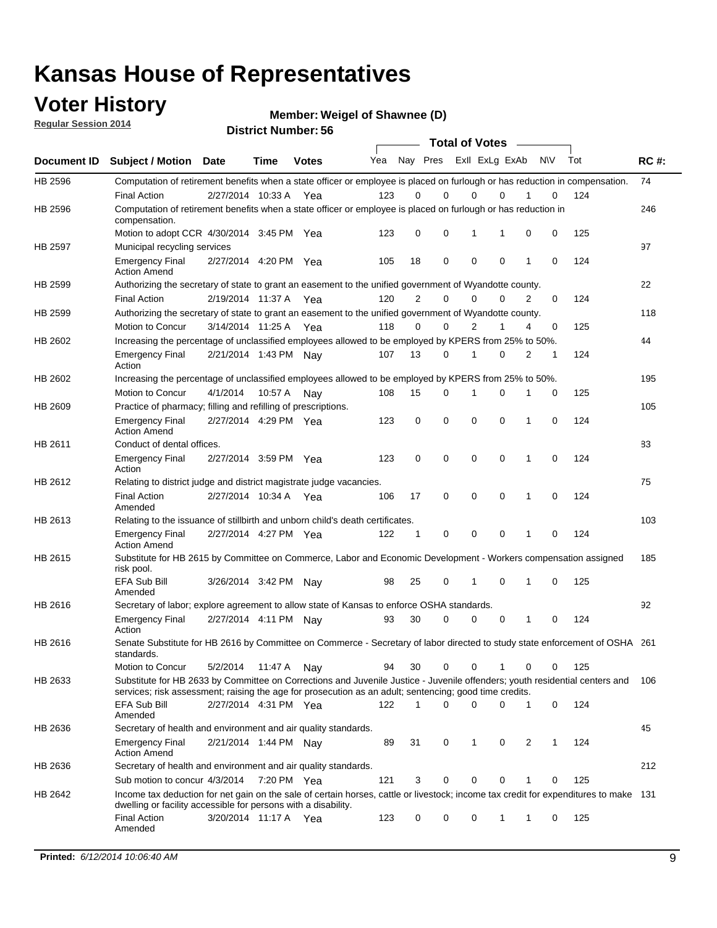### **Voter History**

**Regular Session 2014**

**Weigel of Shawnee (D)**

| <b>District Number: 56</b> |  |
|----------------------------|--|
|                            |  |

|         |                                                                                                                                                                                                                                       |                         |             |              |     |                | <b>Total of Votes</b> |                |          |              |           |     |             |
|---------|---------------------------------------------------------------------------------------------------------------------------------------------------------------------------------------------------------------------------------------|-------------------------|-------------|--------------|-----|----------------|-----------------------|----------------|----------|--------------|-----------|-----|-------------|
|         | Document ID Subject / Motion Date                                                                                                                                                                                                     |                         | <b>Time</b> | <b>Votes</b> | Yea | Nay Pres       |                       | Exll ExLg ExAb |          |              | <b>NV</b> | Tot | <b>RC#:</b> |
| HB 2596 | Computation of retirement benefits when a state officer or employee is placed on furlough or has reduction in compensation.<br><b>Final Action</b>                                                                                    | 2/27/2014 10:33 A       |             |              | 123 | 0              | 0                     | 0              | $\Omega$ |              | 0         | 124 | 74          |
| HB 2596 | Computation of retirement benefits when a state officer or employee is placed on furlough or has reduction in<br>compensation.                                                                                                        |                         |             | Yea          |     |                |                       |                |          |              |           |     | 246         |
|         | Motion to adopt CCR 4/30/2014 3:45 PM Yea                                                                                                                                                                                             |                         |             |              | 123 | 0              | $\mathbf 0$           | 1              | 1        | 0            | 0         | 125 |             |
| HB 2597 | Municipal recycling services                                                                                                                                                                                                          |                         |             |              |     |                |                       |                |          |              |           |     | 97          |
|         | <b>Emergency Final</b><br><b>Action Amend</b>                                                                                                                                                                                         | 2/27/2014 4:20 PM Yea   |             |              | 105 | 18             | 0                     | 0              | 0        | 1            | 0         | 124 |             |
| HB 2599 | Authorizing the secretary of state to grant an easement to the unified government of Wyandotte county.                                                                                                                                |                         |             |              |     |                |                       |                |          |              |           |     | 22          |
|         | <b>Final Action</b>                                                                                                                                                                                                                   | 2/19/2014 11:37 A       |             | Yea          | 120 | $\overline{2}$ | 0                     | $\Omega$       | 0        | 2            | $\Omega$  | 124 |             |
| HB 2599 | Authorizing the secretary of state to grant an easement to the unified government of Wyandotte county.                                                                                                                                |                         |             |              |     |                |                       |                |          |              |           |     | 118         |
|         | Motion to Concur                                                                                                                                                                                                                      | 3/14/2014 11:25 A Yea   |             |              | 118 | 0              | 0                     | 2              | 1        | 4            | 0         | 125 |             |
| HB 2602 | Increasing the percentage of unclassified employees allowed to be employed by KPERS from 25% to 50%.                                                                                                                                  |                         |             |              |     |                |                       |                |          |              |           |     | 44          |
|         | <b>Emergency Final</b><br>Action                                                                                                                                                                                                      | 2/21/2014 1:43 PM Nay   |             |              | 107 | 13             | 0                     | 1              | 0        | 2            | 1         | 124 |             |
| HB 2602 | Increasing the percentage of unclassified employees allowed to be employed by KPERS from 25% to 50%.                                                                                                                                  |                         |             |              |     |                |                       |                |          |              |           |     | 195         |
|         | Motion to Concur                                                                                                                                                                                                                      | 4/1/2014                | 10:57 A     | Nay          | 108 | 15             | 0                     | 1              | 0        | 1            | 0         | 125 |             |
| HB 2609 | Practice of pharmacy; filling and refilling of prescriptions.                                                                                                                                                                         |                         |             |              |     |                |                       |                |          |              |           |     | 105         |
|         | <b>Emergency Final</b><br><b>Action Amend</b>                                                                                                                                                                                         | 2/27/2014 4:29 PM Yea   |             |              | 123 | 0              | $\mathbf 0$           | 0              | 0        | 1            | 0         | 124 |             |
| HB 2611 | Conduct of dental offices.                                                                                                                                                                                                            |                         |             |              |     |                |                       |                |          |              |           |     | 83          |
|         | <b>Emergency Final</b><br>Action                                                                                                                                                                                                      | 2/27/2014 3:59 PM Yea   |             |              | 123 | 0              | $\mathbf 0$           | $\mathbf 0$    | 0        | 1            | 0         | 124 |             |
| HB 2612 | Relating to district judge and district magistrate judge vacancies.                                                                                                                                                                   |                         |             |              |     |                |                       |                |          |              |           |     | 75          |
|         | <b>Final Action</b><br>Amended                                                                                                                                                                                                        | 2/27/2014 10:34 A       |             | Yea          | 106 | 17             | $\mathbf 0$           | 0              | 0        | 1            | 0         | 124 |             |
| HB 2613 | Relating to the issuance of stillbirth and unborn child's death certificates.                                                                                                                                                         |                         |             |              |     |                |                       |                |          |              |           |     | 103         |
|         | <b>Emergency Final</b><br><b>Action Amend</b>                                                                                                                                                                                         | 2/27/2014 4:27 PM Yea   |             |              | 122 | 1              | $\mathbf 0$           | 0              | 0        | 1            | $\Omega$  | 124 |             |
| HB 2615 | Substitute for HB 2615 by Committee on Commerce, Labor and Economic Development - Workers compensation assigned<br>risk pool.                                                                                                         |                         |             |              |     |                |                       |                |          |              |           |     | 185         |
|         | <b>EFA Sub Bill</b><br>Amended                                                                                                                                                                                                        | 3/26/2014 3:42 PM Nay   |             |              | 98  | 25             | 0                     | 1              | 0        | 1            | 0         | 125 |             |
| HB 2616 | Secretary of labor; explore agreement to allow state of Kansas to enforce OSHA standards.                                                                                                                                             |                         |             |              |     |                |                       |                |          |              |           |     | 92          |
|         | <b>Emergency Final</b><br>Action                                                                                                                                                                                                      | 2/27/2014 4:11 PM Nay   |             |              | 93  | 30             | 0                     | 0              | 0        | 1            | 0         | 124 |             |
| HB 2616 | Senate Substitute for HB 2616 by Committee on Commerce - Secretary of labor directed to study state enforcement of OSHA 261<br>standards.                                                                                             |                         |             |              |     |                |                       |                |          |              |           |     |             |
|         | Motion to Concur                                                                                                                                                                                                                      | 5/2/2014  11:47 A   Nay |             |              | 94  | 30             | $\mathbf 0$           | 0              | 1        | 0            | 0         | 125 |             |
| HB 2633 | Substitute for HB 2633 by Committee on Corrections and Juvenile Justice - Juvenile offenders; youth residential centers and<br>services; risk assessment; raising the age for prosecution as an adult; sentencing; good time credits. |                         |             |              |     |                |                       |                |          |              |           |     | 106         |
|         | EFA Sub Bill<br>Amended                                                                                                                                                                                                               | 2/27/2014 4:31 PM Yea   |             |              | 122 | 1              | $\Omega$              | 0              | 0        | 1            | 0         | 124 |             |
| HB 2636 | Secretary of health and environment and air quality standards.                                                                                                                                                                        |                         |             |              |     |                |                       |                |          |              |           |     | 45          |
|         | <b>Emergency Final</b><br><b>Action Amend</b>                                                                                                                                                                                         | 2/21/2014 1:44 PM Nav   |             |              | 89  | 31             | 0                     | 1              | 0        | 2            | 1         | 124 |             |
| HB 2636 | Secretary of health and environment and air quality standards.                                                                                                                                                                        |                         |             |              |     |                |                       |                |          |              |           |     | 212         |
|         | Sub motion to concur 4/3/2014 7:20 PM Yea                                                                                                                                                                                             |                         |             |              | 121 | 3              | 0                     | 0              | 0        |              | 0         | 125 |             |
| HB 2642 | Income tax deduction for net gain on the sale of certain horses, cattle or livestock; income tax credit for expenditures to make 131<br>dwelling or facility accessible for persons with a disability.                                |                         |             |              |     |                |                       |                |          |              |           |     |             |
|         | <b>Final Action</b><br>Amended                                                                                                                                                                                                        | 3/20/2014 11:17 A Yea   |             |              | 123 | 0              | 0                     | 0              | 1        | $\mathbf{1}$ | 0         | 125 |             |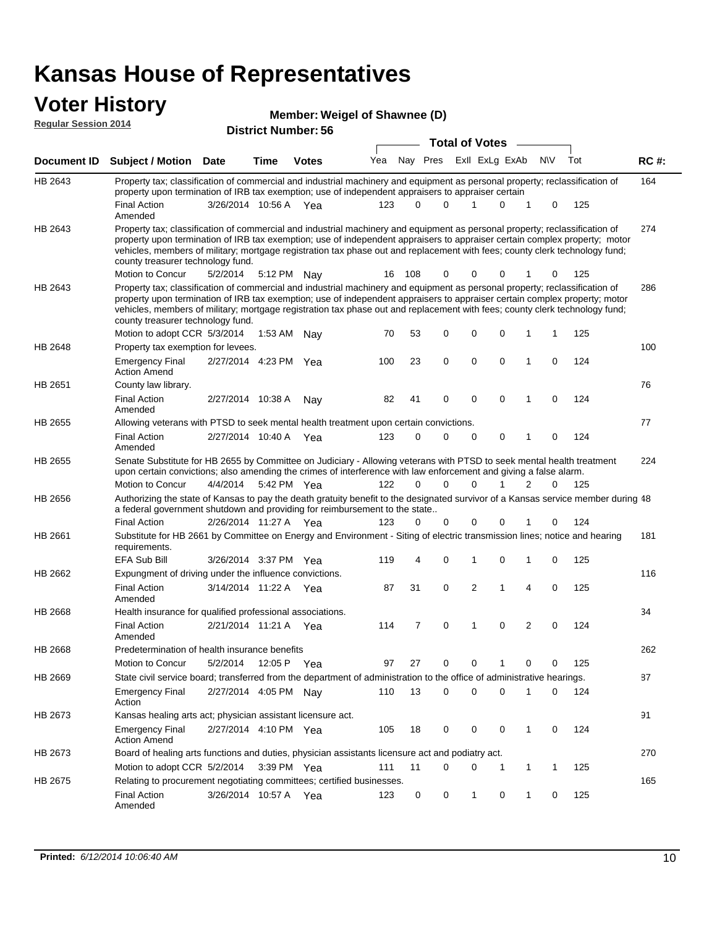# **Voter History Member: Regular Session 2014**

| Member: Weigel of Shawnee (D) |
|-------------------------------|
|-------------------------------|

| noguidi ocoololi 4017 |                                                                                                                                                                                                                                                                                                                                                                                                                               | <b>District Number: 56</b> |             |               |     | <b>Total of Votes</b> |                         |  |             |   |              |          |     |             |
|-----------------------|-------------------------------------------------------------------------------------------------------------------------------------------------------------------------------------------------------------------------------------------------------------------------------------------------------------------------------------------------------------------------------------------------------------------------------|----------------------------|-------------|---------------|-----|-----------------------|-------------------------|--|-------------|---|--------------|----------|-----|-------------|
|                       |                                                                                                                                                                                                                                                                                                                                                                                                                               |                            |             |               |     |                       | Nay Pres ExII ExLg ExAb |  |             |   | <b>NV</b>    |          | Tot |             |
| Document ID           | Subject / Motion Date                                                                                                                                                                                                                                                                                                                                                                                                         |                            | <b>Time</b> | <b>Votes</b>  | Yea |                       |                         |  |             |   |              |          |     | <b>RC#:</b> |
| HB 2643               | Property tax; classification of commercial and industrial machinery and equipment as personal property; reclassification of<br>property upon termination of IRB tax exemption; use of independent appraisers to appraiser certain                                                                                                                                                                                             |                            |             |               |     |                       |                         |  |             |   |              |          |     | 164         |
|                       | <b>Final Action</b>                                                                                                                                                                                                                                                                                                                                                                                                           | 3/26/2014 10:56 A Yea      |             |               | 123 |                       | $\Omega$<br>$\Omega$    |  |             | 0 | 1            | 0        | 125 |             |
|                       | Amended                                                                                                                                                                                                                                                                                                                                                                                                                       |                            |             |               |     |                       |                         |  |             |   |              |          |     |             |
| HB 2643               | Property tax; classification of commercial and industrial machinery and equipment as personal property; reclassification of<br>property upon termination of IRB tax exemption; use of independent appraisers to appraiser certain complex property; motor<br>vehicles, members of military; mortgage registration tax phase out and replacement with fees; county clerk technology fund;<br>county treasurer technology fund. |                            |             |               |     |                       |                         |  |             |   |              |          |     | 274         |
|                       | Motion to Concur                                                                                                                                                                                                                                                                                                                                                                                                              | 5/2/2014                   |             | 5:12 PM Nay   | 16  | 108                   | 0                       |  | 0           | 0 |              | 0        | 125 |             |
| HB 2643               | Property tax; classification of commercial and industrial machinery and equipment as personal property; reclassification of<br>property upon termination of IRB tax exemption; use of independent appraisers to appraiser certain complex property; motor<br>vehicles, members of military; mortgage registration tax phase out and replacement with fees; county clerk technology fund;<br>county treasurer technology fund. |                            |             |               |     |                       |                         |  |             |   |              |          |     | 286         |
| HB 2648               | Motion to adopt CCR 5/3/2014                                                                                                                                                                                                                                                                                                                                                                                                  |                            |             | 1:53 AM Nay   | 70  | 53                    | 0                       |  | 0           | 0 | 1            | 1        | 125 | 100         |
|                       | Property tax exemption for levees.<br><b>Emergency Final</b>                                                                                                                                                                                                                                                                                                                                                                  | 2/27/2014 4:23 PM Yea      |             |               | 100 | 23                    | 0                       |  | 0           | 0 | $\mathbf{1}$ | 0        | 124 |             |
|                       | <b>Action Amend</b>                                                                                                                                                                                                                                                                                                                                                                                                           |                            |             |               |     |                       |                         |  |             |   |              |          |     |             |
| HB 2651               | County law library.                                                                                                                                                                                                                                                                                                                                                                                                           |                            |             |               |     |                       |                         |  |             |   |              |          |     | 76          |
|                       | <b>Final Action</b><br>Amended                                                                                                                                                                                                                                                                                                                                                                                                | 2/27/2014 10:38 A          |             | Nav           | 82  | 41                    | $\Omega$                |  | $\mathbf 0$ | 0 | 1            | $\Omega$ | 124 |             |
| <b>HB 2655</b>        | Allowing veterans with PTSD to seek mental health treatment upon certain convictions.                                                                                                                                                                                                                                                                                                                                         |                            |             |               |     |                       |                         |  |             |   |              |          |     | 77          |
|                       | <b>Final Action</b><br>Amended                                                                                                                                                                                                                                                                                                                                                                                                | 2/27/2014 10:40 A          |             | Yea           | 123 |                       | 0<br>0                  |  | 0           | 0 | 1            | 0        | 124 |             |
| HB 2655               | Senate Substitute for HB 2655 by Committee on Judiciary - Allowing veterans with PTSD to seek mental health treatment<br>upon certain convictions; also amending the crimes of interference with law enforcement and giving a false alarm.                                                                                                                                                                                    |                            |             |               |     |                       |                         |  |             |   |              |          |     | 224         |
|                       | Motion to Concur                                                                                                                                                                                                                                                                                                                                                                                                              | 4/4/2014                   |             | 5:42 PM Yea   | 122 |                       | $\Omega$<br>$\Omega$    |  | $\Omega$    | 1 | 2            | $\Omega$ | 125 |             |
| HB 2656               | Authorizing the state of Kansas to pay the death gratuity benefit to the designated survivor of a Kansas service member during 48<br>a federal government shutdown and providing for reimbursement to the state                                                                                                                                                                                                               |                            |             |               |     |                       |                         |  |             |   |              |          |     |             |
|                       | <b>Final Action</b>                                                                                                                                                                                                                                                                                                                                                                                                           | 2/26/2014 11:27 A Yea      |             |               | 123 |                       | 0<br>0                  |  |             | 0 |              | 0        | 124 |             |
| HB 2661               | Substitute for HB 2661 by Committee on Energy and Environment - Siting of electric transmission lines; notice and hearing<br>requirements.                                                                                                                                                                                                                                                                                    |                            |             |               |     |                       |                         |  |             |   |              |          |     | 181         |
|                       | <b>EFA Sub Bill</b>                                                                                                                                                                                                                                                                                                                                                                                                           | 3/26/2014 3:37 PM Yea      |             |               | 119 |                       | 0<br>4                  |  | 1           | 0 | $\mathbf{1}$ | 0        | 125 |             |
| HB 2662               | Expungment of driving under the influence convictions.                                                                                                                                                                                                                                                                                                                                                                        |                            |             |               |     |                       |                         |  |             |   |              |          |     | 116         |
|                       | <b>Final Action</b><br>Amended                                                                                                                                                                                                                                                                                                                                                                                                | 3/14/2014 11:22 A Yea      |             |               | 87  | 31                    | 0                       |  | 2           | 1 | 4            | 0        | 125 |             |
| <b>HB 2668</b>        | Health insurance for qualified professional associations.                                                                                                                                                                                                                                                                                                                                                                     |                            |             |               |     |                       |                         |  |             |   |              |          |     | 34          |
|                       | <b>Final Action</b><br>Amended                                                                                                                                                                                                                                                                                                                                                                                                | 2/21/2014 11:21 A Yea      |             |               | 114 |                       | 0<br>7                  |  | 1           | 0 | 2            | 0        | 124 |             |
| <b>HB 2668</b>        | Predetermination of health insurance benefits                                                                                                                                                                                                                                                                                                                                                                                 |                            |             |               |     |                       |                         |  |             |   |              |          |     | 262         |
|                       | Motion to Concur                                                                                                                                                                                                                                                                                                                                                                                                              | 5/2/2014                   |             | 12:05 P Yea   | 97  | 27                    | 0                       |  | 0           | 1 | 0            | 0        | 125 |             |
| HB 2669               | State civil service board; transferred from the department of administration to the office of administrative hearings.                                                                                                                                                                                                                                                                                                        |                            |             |               |     |                       |                         |  |             |   |              |          |     | 87          |
|                       | Emergency Final<br>Action                                                                                                                                                                                                                                                                                                                                                                                                     | 2/27/2014 4:05 PM Nay      |             |               | 110 | 13                    | 0                       |  | 0           | 0 | 1            | 0        | 124 |             |
| HB 2673               | Kansas healing arts act; physician assistant licensure act.                                                                                                                                                                                                                                                                                                                                                                   |                            |             |               |     |                       |                         |  |             |   |              |          |     | 91          |
|                       | <b>Emergency Final</b><br><b>Action Amend</b>                                                                                                                                                                                                                                                                                                                                                                                 | 2/27/2014 4:10 PM Yea      |             |               | 105 | 18                    | 0                       |  | 0           | 0 | 1            | 0        | 124 |             |
| HB 2673               | Board of healing arts functions and duties, physician assistants licensure act and podiatry act.                                                                                                                                                                                                                                                                                                                              |                            |             |               |     |                       |                         |  |             |   |              |          |     | 270         |
|                       | Motion to adopt CCR 5/2/2014                                                                                                                                                                                                                                                                                                                                                                                                  |                            |             | $3:39$ PM Yea | 111 | 11                    | 0                       |  | 0           | 1 | 1            | 1        | 125 |             |
| HB 2675               | Relating to procurement negotiating committees; certified businesses.                                                                                                                                                                                                                                                                                                                                                         |                            |             |               |     |                       |                         |  |             |   |              |          |     | 165         |
|                       | <b>Final Action</b><br>Amended                                                                                                                                                                                                                                                                                                                                                                                                | 3/26/2014 10:57 A Yea      |             |               | 123 |                       | 0<br>0                  |  | 1           | 0 | 1            | 0        | 125 |             |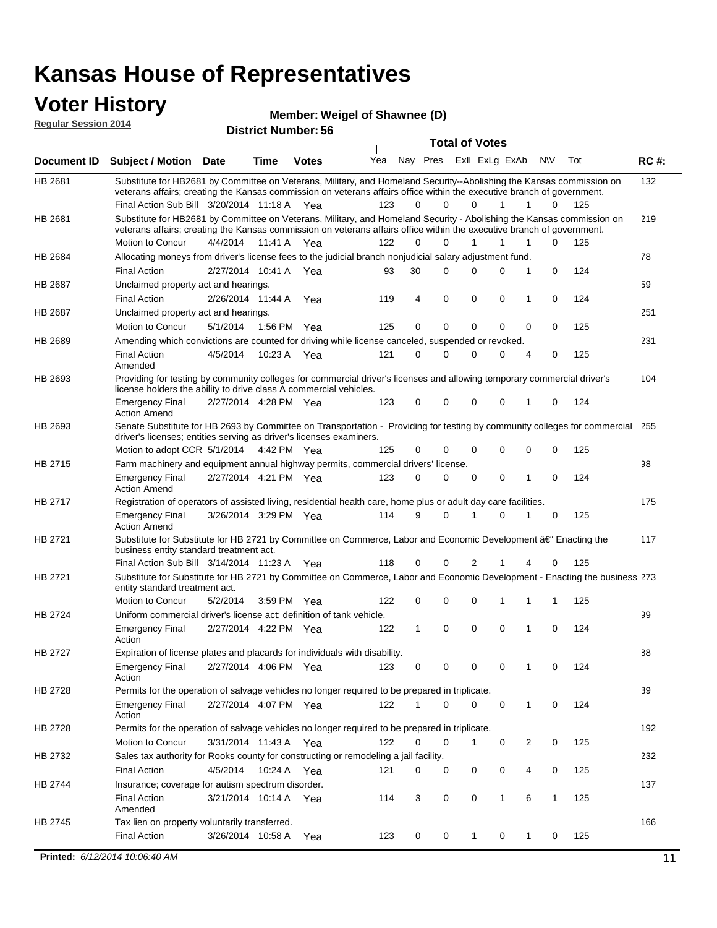### **Voter History**

**Regular Session 2014**

**Member: Weigel of Shawnee (D)** 

| <b>Total of Votes</b><br>Yea<br>Nay Pres ExII ExLg ExAb<br>N\V<br>Tot<br><b>RC#:</b><br>Subject / Motion Date<br><b>Time</b><br><b>Votes</b><br>132<br>Substitute for HB2681 by Committee on Veterans, Military, and Homeland Security--Abolishing the Kansas commission on<br>veterans affairs; creating the Kansas commission on veterans affairs office within the executive branch of government.<br>Final Action Sub Bill 3/20/2014 11:18 A Yea<br>123<br>$\Omega$<br>$\Omega$<br>125<br>0<br>1<br>1<br>$\Omega$<br>Substitute for HB2681 by Committee on Veterans, Military, and Homeland Security - Abolishing the Kansas commission on<br>219<br>veterans affairs; creating the Kansas commission on veterans affairs office within the executive branch of government.<br>Motion to Concur<br>4/4/2014<br>122<br>0<br>0<br>$\mathbf{1}$<br>1<br>1<br>0<br>125<br>11:41 A<br>Yea<br>Allocating moneys from driver's license fees to the judicial branch nonjudicial salary adjustment fund.<br>78<br>$\mathbf 0$<br>124<br><b>Final Action</b><br>2/27/2014 10:41 A Yea<br>30<br>0<br>0<br>0<br>1<br>93<br>59<br>Unclaimed property act and hearings.<br>0<br>$\mathbf 0$<br>0<br>124<br><b>Final Action</b><br>2/26/2014 11:44 A<br>119<br>4<br>0<br>1<br>Yea<br>251<br>Unclaimed property act and hearings.<br>0<br>0<br>125<br>Motion to Concur<br>5/1/2014<br>1:56 PM Yea<br>125<br>0<br>0<br>0<br>0<br>Amending which convictions are counted for driving while license canceled, suspended or revoked.<br>231<br><b>Final Action</b><br>4/5/2014<br>10:23 A<br>121<br>0<br>0<br>0<br>0<br>0<br>125<br>4<br>Yea<br>Amended<br>Providing for testing by community colleges for commercial driver's licenses and allowing temporary commercial driver's<br>104<br>license holders the ability to drive class A commercial vehicles.<br>2/27/2014 4:28 PM Yea<br>123<br>0<br>$\Omega$<br>0<br>0<br>0<br>124<br><b>Emergency Final</b><br>1<br><b>Action Amend</b><br>Senate Substitute for HB 2693 by Committee on Transportation - Providing for testing by community colleges for commercial 255<br>HB 2693<br>driver's licenses; entities serving as driver's licenses examiners.<br>Motion to adopt CCR 5/1/2014 4:42 PM Yea<br>0<br>0<br>125<br>125<br>0<br>0<br>0<br>0<br>HB 2715<br>98<br>Farm machinery and equipment annual highway permits, commercial drivers' license.<br>2/27/2014 4:21 PM Yea<br>123<br>0<br>0<br>0<br>0<br>0<br>124<br><b>Emergency Final</b><br>1<br><b>Action Amend</b><br>HB 2717<br>Registration of operators of assisted living, residential health care, home plus or adult day care facilities.<br>175<br>3/26/2014 3:29 PM Yea<br>114<br>9<br>0<br>0<br>125<br><b>Emergency Final</b><br>1<br>1<br>0<br><b>Action Amend</b><br>117<br>Substitute for Substitute for HB 2721 by Committee on Commerce, Labor and Economic Development †Enacting the<br>business entity standard treatment act.<br>118<br>125<br>Final Action Sub Bill 3/14/2014 11:23 A Yea<br>0<br>2<br>0<br>0<br>Substitute for Substitute for HB 2721 by Committee on Commerce, Labor and Economic Development - Enacting the business 273<br>entity standard treatment act.<br>Motion to Concur<br>122<br>0<br>0<br>125<br>5/2/2014<br>3:59 PM Yea<br>0<br>1<br>1<br>1<br>HB 2724<br>99<br>Uniform commercial driver's license act; definition of tank vehicle.<br>2/27/2014 4:22 PM Yea<br>0<br>0<br>0<br>0<br>124<br><b>Emergency Final</b><br>122<br>1<br>1<br>Action<br>HB 2727<br>Expiration of license plates and placards for individuals with disability.<br>88<br><b>Emergency Final</b><br>2/27/2014 4:06 PM Yea<br>123<br>0<br>124<br>0<br>0<br>0<br>0<br>1<br>Action<br>Permits for the operation of salvage vehicles no longer required to be prepared in triplicate.<br>89<br>HB 2728<br>2/27/2014 4:07 PM Yea<br>122<br>0<br>0<br>124<br><b>Emergency Final</b><br>0<br>0<br>1<br>1<br>Action<br>192<br>Permits for the operation of salvage vehicles no longer required to be prepared in triplicate.<br>Motion to Concur<br>3/31/2014 11:43 A Yea<br>122<br>0<br>2<br>0<br>125<br>0<br>0<br>1<br>Sales tax authority for Rooks county for constructing or remodeling a jail facility.<br>232<br>HB 2732<br><b>Final Action</b><br>4/5/2014<br>10:24 A Yea<br>0<br>0<br>121<br>0<br>0<br>0<br>4<br>125<br>Insurance; coverage for autism spectrum disorder.<br>137<br>HB 2744<br><b>Final Action</b><br>3/21/2014 10:14 A Yea<br>114<br>3<br>0<br>0<br>$\mathbf{1}$<br>6<br>$\mathbf{1}$<br>125<br>Amended<br>Tax lien on property voluntarily transferred.<br>166<br><b>Final Action</b><br>3/26/2014 10:58 A<br>0<br>0<br>0<br>125<br>123<br>1<br>1<br>0<br>Yea<br>Printed: 6/12/2014 10:06:40 AM<br>11 | noguidi ocoololi 4014 |  | <b>District Number: 56</b> |  |  |  |  |  |
|-----------------------------------------------------------------------------------------------------------------------------------------------------------------------------------------------------------------------------------------------------------------------------------------------------------------------------------------------------------------------------------------------------------------------------------------------------------------------------------------------------------------------------------------------------------------------------------------------------------------------------------------------------------------------------------------------------------------------------------------------------------------------------------------------------------------------------------------------------------------------------------------------------------------------------------------------------------------------------------------------------------------------------------------------------------------------------------------------------------------------------------------------------------------------------------------------------------------------------------------------------------------------------------------------------------------------------------------------------------------------------------------------------------------------------------------------------------------------------------------------------------------------------------------------------------------------------------------------------------------------------------------------------------------------------------------------------------------------------------------------------------------------------------------------------------------------------------------------------------------------------------------------------------------------------------------------------------------------------------------------------------------------------------------------------------------------------------------------------------------------------------------------------------------------------------------------------------------------------------------------------------------------------------------------------------------------------------------------------------------------------------------------------------------------------------------------------------------------------------------------------------------------------------------------------------------------------------------------------------------------------------------------------------------------------------------------------------------------------------------------------------------------------------------------------------------------------------------------------------------------------------------------------------------------------------------------------------------------------------------------------------------------------------------------------------------------------------------------------------------------------------------------------------------------------------------------------------------------------------------------------------------------------------------------------------------------------------------------------------------------------------------------------------------------------------------------------------------------------------------------------------------------------------------------------------------------------------------------------------------------------------------------------------------------------------------------------------------------------------------------------------------------------------------------------------------------------------------------------------------------------------------------------------------------------------------------------------------------------------------------------------------------------------------------------------------------------------------------------------------------------------------------------------------------------------------------------------------------------------------------------------------------------------------------------------------------------------------------------------------------------------------------------------------------------------------------------------------------------------------------------------------------------------------------------------------------------------------------------------------------------------------------------------------------------------------------------------------------------------------------|-----------------------|--|----------------------------|--|--|--|--|--|
|                                                                                                                                                                                                                                                                                                                                                                                                                                                                                                                                                                                                                                                                                                                                                                                                                                                                                                                                                                                                                                                                                                                                                                                                                                                                                                                                                                                                                                                                                                                                                                                                                                                                                                                                                                                                                                                                                                                                                                                                                                                                                                                                                                                                                                                                                                                                                                                                                                                                                                                                                                                                                                                                                                                                                                                                                                                                                                                                                                                                                                                                                                                                                                                                                                                                                                                                                                                                                                                                                                                                                                                                                                                                                                                                                                                                                                                                                                                                                                                                                                                                                                                                                                                                                                                                                                                                                                                                                                                                                                                                                                                                                                                                                                                                               |                       |  |                            |  |  |  |  |  |
|                                                                                                                                                                                                                                                                                                                                                                                                                                                                                                                                                                                                                                                                                                                                                                                                                                                                                                                                                                                                                                                                                                                                                                                                                                                                                                                                                                                                                                                                                                                                                                                                                                                                                                                                                                                                                                                                                                                                                                                                                                                                                                                                                                                                                                                                                                                                                                                                                                                                                                                                                                                                                                                                                                                                                                                                                                                                                                                                                                                                                                                                                                                                                                                                                                                                                                                                                                                                                                                                                                                                                                                                                                                                                                                                                                                                                                                                                                                                                                                                                                                                                                                                                                                                                                                                                                                                                                                                                                                                                                                                                                                                                                                                                                                                               | Document ID           |  |                            |  |  |  |  |  |
|                                                                                                                                                                                                                                                                                                                                                                                                                                                                                                                                                                                                                                                                                                                                                                                                                                                                                                                                                                                                                                                                                                                                                                                                                                                                                                                                                                                                                                                                                                                                                                                                                                                                                                                                                                                                                                                                                                                                                                                                                                                                                                                                                                                                                                                                                                                                                                                                                                                                                                                                                                                                                                                                                                                                                                                                                                                                                                                                                                                                                                                                                                                                                                                                                                                                                                                                                                                                                                                                                                                                                                                                                                                                                                                                                                                                                                                                                                                                                                                                                                                                                                                                                                                                                                                                                                                                                                                                                                                                                                                                                                                                                                                                                                                                               | HB 2681               |  |                            |  |  |  |  |  |
|                                                                                                                                                                                                                                                                                                                                                                                                                                                                                                                                                                                                                                                                                                                                                                                                                                                                                                                                                                                                                                                                                                                                                                                                                                                                                                                                                                                                                                                                                                                                                                                                                                                                                                                                                                                                                                                                                                                                                                                                                                                                                                                                                                                                                                                                                                                                                                                                                                                                                                                                                                                                                                                                                                                                                                                                                                                                                                                                                                                                                                                                                                                                                                                                                                                                                                                                                                                                                                                                                                                                                                                                                                                                                                                                                                                                                                                                                                                                                                                                                                                                                                                                                                                                                                                                                                                                                                                                                                                                                                                                                                                                                                                                                                                                               | HB 2681               |  |                            |  |  |  |  |  |
|                                                                                                                                                                                                                                                                                                                                                                                                                                                                                                                                                                                                                                                                                                                                                                                                                                                                                                                                                                                                                                                                                                                                                                                                                                                                                                                                                                                                                                                                                                                                                                                                                                                                                                                                                                                                                                                                                                                                                                                                                                                                                                                                                                                                                                                                                                                                                                                                                                                                                                                                                                                                                                                                                                                                                                                                                                                                                                                                                                                                                                                                                                                                                                                                                                                                                                                                                                                                                                                                                                                                                                                                                                                                                                                                                                                                                                                                                                                                                                                                                                                                                                                                                                                                                                                                                                                                                                                                                                                                                                                                                                                                                                                                                                                                               |                       |  |                            |  |  |  |  |  |
|                                                                                                                                                                                                                                                                                                                                                                                                                                                                                                                                                                                                                                                                                                                                                                                                                                                                                                                                                                                                                                                                                                                                                                                                                                                                                                                                                                                                                                                                                                                                                                                                                                                                                                                                                                                                                                                                                                                                                                                                                                                                                                                                                                                                                                                                                                                                                                                                                                                                                                                                                                                                                                                                                                                                                                                                                                                                                                                                                                                                                                                                                                                                                                                                                                                                                                                                                                                                                                                                                                                                                                                                                                                                                                                                                                                                                                                                                                                                                                                                                                                                                                                                                                                                                                                                                                                                                                                                                                                                                                                                                                                                                                                                                                                                               | HB 2684               |  |                            |  |  |  |  |  |
|                                                                                                                                                                                                                                                                                                                                                                                                                                                                                                                                                                                                                                                                                                                                                                                                                                                                                                                                                                                                                                                                                                                                                                                                                                                                                                                                                                                                                                                                                                                                                                                                                                                                                                                                                                                                                                                                                                                                                                                                                                                                                                                                                                                                                                                                                                                                                                                                                                                                                                                                                                                                                                                                                                                                                                                                                                                                                                                                                                                                                                                                                                                                                                                                                                                                                                                                                                                                                                                                                                                                                                                                                                                                                                                                                                                                                                                                                                                                                                                                                                                                                                                                                                                                                                                                                                                                                                                                                                                                                                                                                                                                                                                                                                                                               |                       |  |                            |  |  |  |  |  |
|                                                                                                                                                                                                                                                                                                                                                                                                                                                                                                                                                                                                                                                                                                                                                                                                                                                                                                                                                                                                                                                                                                                                                                                                                                                                                                                                                                                                                                                                                                                                                                                                                                                                                                                                                                                                                                                                                                                                                                                                                                                                                                                                                                                                                                                                                                                                                                                                                                                                                                                                                                                                                                                                                                                                                                                                                                                                                                                                                                                                                                                                                                                                                                                                                                                                                                                                                                                                                                                                                                                                                                                                                                                                                                                                                                                                                                                                                                                                                                                                                                                                                                                                                                                                                                                                                                                                                                                                                                                                                                                                                                                                                                                                                                                                               | HB 2687               |  |                            |  |  |  |  |  |
|                                                                                                                                                                                                                                                                                                                                                                                                                                                                                                                                                                                                                                                                                                                                                                                                                                                                                                                                                                                                                                                                                                                                                                                                                                                                                                                                                                                                                                                                                                                                                                                                                                                                                                                                                                                                                                                                                                                                                                                                                                                                                                                                                                                                                                                                                                                                                                                                                                                                                                                                                                                                                                                                                                                                                                                                                                                                                                                                                                                                                                                                                                                                                                                                                                                                                                                                                                                                                                                                                                                                                                                                                                                                                                                                                                                                                                                                                                                                                                                                                                                                                                                                                                                                                                                                                                                                                                                                                                                                                                                                                                                                                                                                                                                                               |                       |  |                            |  |  |  |  |  |
|                                                                                                                                                                                                                                                                                                                                                                                                                                                                                                                                                                                                                                                                                                                                                                                                                                                                                                                                                                                                                                                                                                                                                                                                                                                                                                                                                                                                                                                                                                                                                                                                                                                                                                                                                                                                                                                                                                                                                                                                                                                                                                                                                                                                                                                                                                                                                                                                                                                                                                                                                                                                                                                                                                                                                                                                                                                                                                                                                                                                                                                                                                                                                                                                                                                                                                                                                                                                                                                                                                                                                                                                                                                                                                                                                                                                                                                                                                                                                                                                                                                                                                                                                                                                                                                                                                                                                                                                                                                                                                                                                                                                                                                                                                                                               | HB 2687               |  |                            |  |  |  |  |  |
|                                                                                                                                                                                                                                                                                                                                                                                                                                                                                                                                                                                                                                                                                                                                                                                                                                                                                                                                                                                                                                                                                                                                                                                                                                                                                                                                                                                                                                                                                                                                                                                                                                                                                                                                                                                                                                                                                                                                                                                                                                                                                                                                                                                                                                                                                                                                                                                                                                                                                                                                                                                                                                                                                                                                                                                                                                                                                                                                                                                                                                                                                                                                                                                                                                                                                                                                                                                                                                                                                                                                                                                                                                                                                                                                                                                                                                                                                                                                                                                                                                                                                                                                                                                                                                                                                                                                                                                                                                                                                                                                                                                                                                                                                                                                               |                       |  |                            |  |  |  |  |  |
|                                                                                                                                                                                                                                                                                                                                                                                                                                                                                                                                                                                                                                                                                                                                                                                                                                                                                                                                                                                                                                                                                                                                                                                                                                                                                                                                                                                                                                                                                                                                                                                                                                                                                                                                                                                                                                                                                                                                                                                                                                                                                                                                                                                                                                                                                                                                                                                                                                                                                                                                                                                                                                                                                                                                                                                                                                                                                                                                                                                                                                                                                                                                                                                                                                                                                                                                                                                                                                                                                                                                                                                                                                                                                                                                                                                                                                                                                                                                                                                                                                                                                                                                                                                                                                                                                                                                                                                                                                                                                                                                                                                                                                                                                                                                               | HB 2689               |  |                            |  |  |  |  |  |
|                                                                                                                                                                                                                                                                                                                                                                                                                                                                                                                                                                                                                                                                                                                                                                                                                                                                                                                                                                                                                                                                                                                                                                                                                                                                                                                                                                                                                                                                                                                                                                                                                                                                                                                                                                                                                                                                                                                                                                                                                                                                                                                                                                                                                                                                                                                                                                                                                                                                                                                                                                                                                                                                                                                                                                                                                                                                                                                                                                                                                                                                                                                                                                                                                                                                                                                                                                                                                                                                                                                                                                                                                                                                                                                                                                                                                                                                                                                                                                                                                                                                                                                                                                                                                                                                                                                                                                                                                                                                                                                                                                                                                                                                                                                                               |                       |  |                            |  |  |  |  |  |
|                                                                                                                                                                                                                                                                                                                                                                                                                                                                                                                                                                                                                                                                                                                                                                                                                                                                                                                                                                                                                                                                                                                                                                                                                                                                                                                                                                                                                                                                                                                                                                                                                                                                                                                                                                                                                                                                                                                                                                                                                                                                                                                                                                                                                                                                                                                                                                                                                                                                                                                                                                                                                                                                                                                                                                                                                                                                                                                                                                                                                                                                                                                                                                                                                                                                                                                                                                                                                                                                                                                                                                                                                                                                                                                                                                                                                                                                                                                                                                                                                                                                                                                                                                                                                                                                                                                                                                                                                                                                                                                                                                                                                                                                                                                                               | HB 2693               |  |                            |  |  |  |  |  |
|                                                                                                                                                                                                                                                                                                                                                                                                                                                                                                                                                                                                                                                                                                                                                                                                                                                                                                                                                                                                                                                                                                                                                                                                                                                                                                                                                                                                                                                                                                                                                                                                                                                                                                                                                                                                                                                                                                                                                                                                                                                                                                                                                                                                                                                                                                                                                                                                                                                                                                                                                                                                                                                                                                                                                                                                                                                                                                                                                                                                                                                                                                                                                                                                                                                                                                                                                                                                                                                                                                                                                                                                                                                                                                                                                                                                                                                                                                                                                                                                                                                                                                                                                                                                                                                                                                                                                                                                                                                                                                                                                                                                                                                                                                                                               |                       |  |                            |  |  |  |  |  |
|                                                                                                                                                                                                                                                                                                                                                                                                                                                                                                                                                                                                                                                                                                                                                                                                                                                                                                                                                                                                                                                                                                                                                                                                                                                                                                                                                                                                                                                                                                                                                                                                                                                                                                                                                                                                                                                                                                                                                                                                                                                                                                                                                                                                                                                                                                                                                                                                                                                                                                                                                                                                                                                                                                                                                                                                                                                                                                                                                                                                                                                                                                                                                                                                                                                                                                                                                                                                                                                                                                                                                                                                                                                                                                                                                                                                                                                                                                                                                                                                                                                                                                                                                                                                                                                                                                                                                                                                                                                                                                                                                                                                                                                                                                                                               |                       |  |                            |  |  |  |  |  |
|                                                                                                                                                                                                                                                                                                                                                                                                                                                                                                                                                                                                                                                                                                                                                                                                                                                                                                                                                                                                                                                                                                                                                                                                                                                                                                                                                                                                                                                                                                                                                                                                                                                                                                                                                                                                                                                                                                                                                                                                                                                                                                                                                                                                                                                                                                                                                                                                                                                                                                                                                                                                                                                                                                                                                                                                                                                                                                                                                                                                                                                                                                                                                                                                                                                                                                                                                                                                                                                                                                                                                                                                                                                                                                                                                                                                                                                                                                                                                                                                                                                                                                                                                                                                                                                                                                                                                                                                                                                                                                                                                                                                                                                                                                                                               |                       |  |                            |  |  |  |  |  |
|                                                                                                                                                                                                                                                                                                                                                                                                                                                                                                                                                                                                                                                                                                                                                                                                                                                                                                                                                                                                                                                                                                                                                                                                                                                                                                                                                                                                                                                                                                                                                                                                                                                                                                                                                                                                                                                                                                                                                                                                                                                                                                                                                                                                                                                                                                                                                                                                                                                                                                                                                                                                                                                                                                                                                                                                                                                                                                                                                                                                                                                                                                                                                                                                                                                                                                                                                                                                                                                                                                                                                                                                                                                                                                                                                                                                                                                                                                                                                                                                                                                                                                                                                                                                                                                                                                                                                                                                                                                                                                                                                                                                                                                                                                                                               |                       |  |                            |  |  |  |  |  |
|                                                                                                                                                                                                                                                                                                                                                                                                                                                                                                                                                                                                                                                                                                                                                                                                                                                                                                                                                                                                                                                                                                                                                                                                                                                                                                                                                                                                                                                                                                                                                                                                                                                                                                                                                                                                                                                                                                                                                                                                                                                                                                                                                                                                                                                                                                                                                                                                                                                                                                                                                                                                                                                                                                                                                                                                                                                                                                                                                                                                                                                                                                                                                                                                                                                                                                                                                                                                                                                                                                                                                                                                                                                                                                                                                                                                                                                                                                                                                                                                                                                                                                                                                                                                                                                                                                                                                                                                                                                                                                                                                                                                                                                                                                                                               |                       |  |                            |  |  |  |  |  |
|                                                                                                                                                                                                                                                                                                                                                                                                                                                                                                                                                                                                                                                                                                                                                                                                                                                                                                                                                                                                                                                                                                                                                                                                                                                                                                                                                                                                                                                                                                                                                                                                                                                                                                                                                                                                                                                                                                                                                                                                                                                                                                                                                                                                                                                                                                                                                                                                                                                                                                                                                                                                                                                                                                                                                                                                                                                                                                                                                                                                                                                                                                                                                                                                                                                                                                                                                                                                                                                                                                                                                                                                                                                                                                                                                                                                                                                                                                                                                                                                                                                                                                                                                                                                                                                                                                                                                                                                                                                                                                                                                                                                                                                                                                                                               |                       |  |                            |  |  |  |  |  |
|                                                                                                                                                                                                                                                                                                                                                                                                                                                                                                                                                                                                                                                                                                                                                                                                                                                                                                                                                                                                                                                                                                                                                                                                                                                                                                                                                                                                                                                                                                                                                                                                                                                                                                                                                                                                                                                                                                                                                                                                                                                                                                                                                                                                                                                                                                                                                                                                                                                                                                                                                                                                                                                                                                                                                                                                                                                                                                                                                                                                                                                                                                                                                                                                                                                                                                                                                                                                                                                                                                                                                                                                                                                                                                                                                                                                                                                                                                                                                                                                                                                                                                                                                                                                                                                                                                                                                                                                                                                                                                                                                                                                                                                                                                                                               | HB 2721               |  |                            |  |  |  |  |  |
|                                                                                                                                                                                                                                                                                                                                                                                                                                                                                                                                                                                                                                                                                                                                                                                                                                                                                                                                                                                                                                                                                                                                                                                                                                                                                                                                                                                                                                                                                                                                                                                                                                                                                                                                                                                                                                                                                                                                                                                                                                                                                                                                                                                                                                                                                                                                                                                                                                                                                                                                                                                                                                                                                                                                                                                                                                                                                                                                                                                                                                                                                                                                                                                                                                                                                                                                                                                                                                                                                                                                                                                                                                                                                                                                                                                                                                                                                                                                                                                                                                                                                                                                                                                                                                                                                                                                                                                                                                                                                                                                                                                                                                                                                                                                               |                       |  |                            |  |  |  |  |  |
|                                                                                                                                                                                                                                                                                                                                                                                                                                                                                                                                                                                                                                                                                                                                                                                                                                                                                                                                                                                                                                                                                                                                                                                                                                                                                                                                                                                                                                                                                                                                                                                                                                                                                                                                                                                                                                                                                                                                                                                                                                                                                                                                                                                                                                                                                                                                                                                                                                                                                                                                                                                                                                                                                                                                                                                                                                                                                                                                                                                                                                                                                                                                                                                                                                                                                                                                                                                                                                                                                                                                                                                                                                                                                                                                                                                                                                                                                                                                                                                                                                                                                                                                                                                                                                                                                                                                                                                                                                                                                                                                                                                                                                                                                                                                               | HB 2721               |  |                            |  |  |  |  |  |
|                                                                                                                                                                                                                                                                                                                                                                                                                                                                                                                                                                                                                                                                                                                                                                                                                                                                                                                                                                                                                                                                                                                                                                                                                                                                                                                                                                                                                                                                                                                                                                                                                                                                                                                                                                                                                                                                                                                                                                                                                                                                                                                                                                                                                                                                                                                                                                                                                                                                                                                                                                                                                                                                                                                                                                                                                                                                                                                                                                                                                                                                                                                                                                                                                                                                                                                                                                                                                                                                                                                                                                                                                                                                                                                                                                                                                                                                                                                                                                                                                                                                                                                                                                                                                                                                                                                                                                                                                                                                                                                                                                                                                                                                                                                                               |                       |  |                            |  |  |  |  |  |
|                                                                                                                                                                                                                                                                                                                                                                                                                                                                                                                                                                                                                                                                                                                                                                                                                                                                                                                                                                                                                                                                                                                                                                                                                                                                                                                                                                                                                                                                                                                                                                                                                                                                                                                                                                                                                                                                                                                                                                                                                                                                                                                                                                                                                                                                                                                                                                                                                                                                                                                                                                                                                                                                                                                                                                                                                                                                                                                                                                                                                                                                                                                                                                                                                                                                                                                                                                                                                                                                                                                                                                                                                                                                                                                                                                                                                                                                                                                                                                                                                                                                                                                                                                                                                                                                                                                                                                                                                                                                                                                                                                                                                                                                                                                                               |                       |  |                            |  |  |  |  |  |
|                                                                                                                                                                                                                                                                                                                                                                                                                                                                                                                                                                                                                                                                                                                                                                                                                                                                                                                                                                                                                                                                                                                                                                                                                                                                                                                                                                                                                                                                                                                                                                                                                                                                                                                                                                                                                                                                                                                                                                                                                                                                                                                                                                                                                                                                                                                                                                                                                                                                                                                                                                                                                                                                                                                                                                                                                                                                                                                                                                                                                                                                                                                                                                                                                                                                                                                                                                                                                                                                                                                                                                                                                                                                                                                                                                                                                                                                                                                                                                                                                                                                                                                                                                                                                                                                                                                                                                                                                                                                                                                                                                                                                                                                                                                                               |                       |  |                            |  |  |  |  |  |
|                                                                                                                                                                                                                                                                                                                                                                                                                                                                                                                                                                                                                                                                                                                                                                                                                                                                                                                                                                                                                                                                                                                                                                                                                                                                                                                                                                                                                                                                                                                                                                                                                                                                                                                                                                                                                                                                                                                                                                                                                                                                                                                                                                                                                                                                                                                                                                                                                                                                                                                                                                                                                                                                                                                                                                                                                                                                                                                                                                                                                                                                                                                                                                                                                                                                                                                                                                                                                                                                                                                                                                                                                                                                                                                                                                                                                                                                                                                                                                                                                                                                                                                                                                                                                                                                                                                                                                                                                                                                                                                                                                                                                                                                                                                                               |                       |  |                            |  |  |  |  |  |
|                                                                                                                                                                                                                                                                                                                                                                                                                                                                                                                                                                                                                                                                                                                                                                                                                                                                                                                                                                                                                                                                                                                                                                                                                                                                                                                                                                                                                                                                                                                                                                                                                                                                                                                                                                                                                                                                                                                                                                                                                                                                                                                                                                                                                                                                                                                                                                                                                                                                                                                                                                                                                                                                                                                                                                                                                                                                                                                                                                                                                                                                                                                                                                                                                                                                                                                                                                                                                                                                                                                                                                                                                                                                                                                                                                                                                                                                                                                                                                                                                                                                                                                                                                                                                                                                                                                                                                                                                                                                                                                                                                                                                                                                                                                                               |                       |  |                            |  |  |  |  |  |
|                                                                                                                                                                                                                                                                                                                                                                                                                                                                                                                                                                                                                                                                                                                                                                                                                                                                                                                                                                                                                                                                                                                                                                                                                                                                                                                                                                                                                                                                                                                                                                                                                                                                                                                                                                                                                                                                                                                                                                                                                                                                                                                                                                                                                                                                                                                                                                                                                                                                                                                                                                                                                                                                                                                                                                                                                                                                                                                                                                                                                                                                                                                                                                                                                                                                                                                                                                                                                                                                                                                                                                                                                                                                                                                                                                                                                                                                                                                                                                                                                                                                                                                                                                                                                                                                                                                                                                                                                                                                                                                                                                                                                                                                                                                                               |                       |  |                            |  |  |  |  |  |
|                                                                                                                                                                                                                                                                                                                                                                                                                                                                                                                                                                                                                                                                                                                                                                                                                                                                                                                                                                                                                                                                                                                                                                                                                                                                                                                                                                                                                                                                                                                                                                                                                                                                                                                                                                                                                                                                                                                                                                                                                                                                                                                                                                                                                                                                                                                                                                                                                                                                                                                                                                                                                                                                                                                                                                                                                                                                                                                                                                                                                                                                                                                                                                                                                                                                                                                                                                                                                                                                                                                                                                                                                                                                                                                                                                                                                                                                                                                                                                                                                                                                                                                                                                                                                                                                                                                                                                                                                                                                                                                                                                                                                                                                                                                                               | HB 2728               |  |                            |  |  |  |  |  |
|                                                                                                                                                                                                                                                                                                                                                                                                                                                                                                                                                                                                                                                                                                                                                                                                                                                                                                                                                                                                                                                                                                                                                                                                                                                                                                                                                                                                                                                                                                                                                                                                                                                                                                                                                                                                                                                                                                                                                                                                                                                                                                                                                                                                                                                                                                                                                                                                                                                                                                                                                                                                                                                                                                                                                                                                                                                                                                                                                                                                                                                                                                                                                                                                                                                                                                                                                                                                                                                                                                                                                                                                                                                                                                                                                                                                                                                                                                                                                                                                                                                                                                                                                                                                                                                                                                                                                                                                                                                                                                                                                                                                                                                                                                                                               |                       |  |                            |  |  |  |  |  |
|                                                                                                                                                                                                                                                                                                                                                                                                                                                                                                                                                                                                                                                                                                                                                                                                                                                                                                                                                                                                                                                                                                                                                                                                                                                                                                                                                                                                                                                                                                                                                                                                                                                                                                                                                                                                                                                                                                                                                                                                                                                                                                                                                                                                                                                                                                                                                                                                                                                                                                                                                                                                                                                                                                                                                                                                                                                                                                                                                                                                                                                                                                                                                                                                                                                                                                                                                                                                                                                                                                                                                                                                                                                                                                                                                                                                                                                                                                                                                                                                                                                                                                                                                                                                                                                                                                                                                                                                                                                                                                                                                                                                                                                                                                                                               |                       |  |                            |  |  |  |  |  |
|                                                                                                                                                                                                                                                                                                                                                                                                                                                                                                                                                                                                                                                                                                                                                                                                                                                                                                                                                                                                                                                                                                                                                                                                                                                                                                                                                                                                                                                                                                                                                                                                                                                                                                                                                                                                                                                                                                                                                                                                                                                                                                                                                                                                                                                                                                                                                                                                                                                                                                                                                                                                                                                                                                                                                                                                                                                                                                                                                                                                                                                                                                                                                                                                                                                                                                                                                                                                                                                                                                                                                                                                                                                                                                                                                                                                                                                                                                                                                                                                                                                                                                                                                                                                                                                                                                                                                                                                                                                                                                                                                                                                                                                                                                                                               |                       |  |                            |  |  |  |  |  |
|                                                                                                                                                                                                                                                                                                                                                                                                                                                                                                                                                                                                                                                                                                                                                                                                                                                                                                                                                                                                                                                                                                                                                                                                                                                                                                                                                                                                                                                                                                                                                                                                                                                                                                                                                                                                                                                                                                                                                                                                                                                                                                                                                                                                                                                                                                                                                                                                                                                                                                                                                                                                                                                                                                                                                                                                                                                                                                                                                                                                                                                                                                                                                                                                                                                                                                                                                                                                                                                                                                                                                                                                                                                                                                                                                                                                                                                                                                                                                                                                                                                                                                                                                                                                                                                                                                                                                                                                                                                                                                                                                                                                                                                                                                                                               |                       |  |                            |  |  |  |  |  |
|                                                                                                                                                                                                                                                                                                                                                                                                                                                                                                                                                                                                                                                                                                                                                                                                                                                                                                                                                                                                                                                                                                                                                                                                                                                                                                                                                                                                                                                                                                                                                                                                                                                                                                                                                                                                                                                                                                                                                                                                                                                                                                                                                                                                                                                                                                                                                                                                                                                                                                                                                                                                                                                                                                                                                                                                                                                                                                                                                                                                                                                                                                                                                                                                                                                                                                                                                                                                                                                                                                                                                                                                                                                                                                                                                                                                                                                                                                                                                                                                                                                                                                                                                                                                                                                                                                                                                                                                                                                                                                                                                                                                                                                                                                                                               |                       |  |                            |  |  |  |  |  |
|                                                                                                                                                                                                                                                                                                                                                                                                                                                                                                                                                                                                                                                                                                                                                                                                                                                                                                                                                                                                                                                                                                                                                                                                                                                                                                                                                                                                                                                                                                                                                                                                                                                                                                                                                                                                                                                                                                                                                                                                                                                                                                                                                                                                                                                                                                                                                                                                                                                                                                                                                                                                                                                                                                                                                                                                                                                                                                                                                                                                                                                                                                                                                                                                                                                                                                                                                                                                                                                                                                                                                                                                                                                                                                                                                                                                                                                                                                                                                                                                                                                                                                                                                                                                                                                                                                                                                                                                                                                                                                                                                                                                                                                                                                                                               | HB 2745               |  |                            |  |  |  |  |  |
|                                                                                                                                                                                                                                                                                                                                                                                                                                                                                                                                                                                                                                                                                                                                                                                                                                                                                                                                                                                                                                                                                                                                                                                                                                                                                                                                                                                                                                                                                                                                                                                                                                                                                                                                                                                                                                                                                                                                                                                                                                                                                                                                                                                                                                                                                                                                                                                                                                                                                                                                                                                                                                                                                                                                                                                                                                                                                                                                                                                                                                                                                                                                                                                                                                                                                                                                                                                                                                                                                                                                                                                                                                                                                                                                                                                                                                                                                                                                                                                                                                                                                                                                                                                                                                                                                                                                                                                                                                                                                                                                                                                                                                                                                                                                               |                       |  |                            |  |  |  |  |  |
|                                                                                                                                                                                                                                                                                                                                                                                                                                                                                                                                                                                                                                                                                                                                                                                                                                                                                                                                                                                                                                                                                                                                                                                                                                                                                                                                                                                                                                                                                                                                                                                                                                                                                                                                                                                                                                                                                                                                                                                                                                                                                                                                                                                                                                                                                                                                                                                                                                                                                                                                                                                                                                                                                                                                                                                                                                                                                                                                                                                                                                                                                                                                                                                                                                                                                                                                                                                                                                                                                                                                                                                                                                                                                                                                                                                                                                                                                                                                                                                                                                                                                                                                                                                                                                                                                                                                                                                                                                                                                                                                                                                                                                                                                                                                               |                       |  |                            |  |  |  |  |  |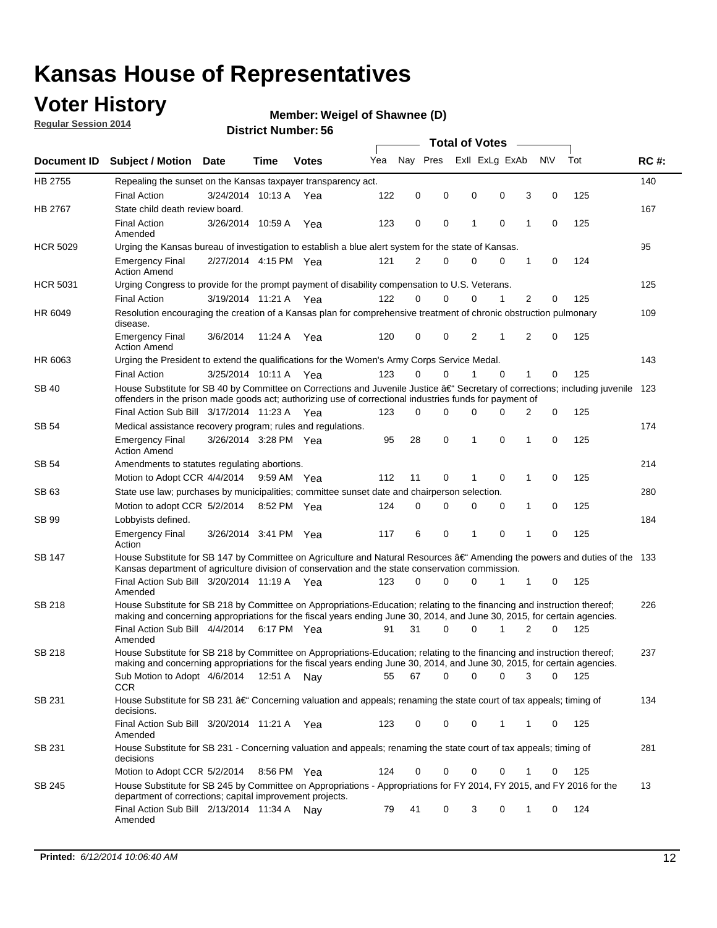### **Voter History**

**Regular Session 2014**

#### **Weigel of Shawnee (D)**

|                 | Document ID Subject / Motion Date                                                                                                                                                                                                                    |                       | Time        | <b>Votes</b> | Yea | Nav Pres |             |   | Exll ExLg ExAb |                | N\V         | Tot | <b>RC#:</b> |
|-----------------|------------------------------------------------------------------------------------------------------------------------------------------------------------------------------------------------------------------------------------------------------|-----------------------|-------------|--------------|-----|----------|-------------|---|----------------|----------------|-------------|-----|-------------|
| HB 2755         | Repealing the sunset on the Kansas taxpayer transparency act.                                                                                                                                                                                        |                       |             |              |     |          |             |   |                |                |             |     | 140         |
|                 | <b>Final Action</b>                                                                                                                                                                                                                                  | 3/24/2014 10:13 A     |             | Yea          | 122 | 0        | 0           | 0 | 0              | 3              | 0           | 125 |             |
| HB 2767         | State child death review board.                                                                                                                                                                                                                      |                       |             |              |     |          |             |   |                |                |             |     | 167         |
|                 | <b>Final Action</b><br>Amended                                                                                                                                                                                                                       | 3/26/2014 10:59 A     |             | Yea          | 123 | 0        | 0           | 1 | $\mathbf 0$    | 1              | 0           | 125 |             |
| <b>HCR 5029</b> | Urging the Kansas bureau of investigation to establish a blue alert system for the state of Kansas.                                                                                                                                                  |                       |             |              |     |          |             |   |                |                |             |     | 95          |
|                 | <b>Emergency Final</b><br><b>Action Amend</b>                                                                                                                                                                                                        | 2/27/2014 4:15 PM Yea |             |              | 121 | 2        | 0           | 0 | 0              | 1              | 0           | 124 |             |
| <b>HCR 5031</b> | Urging Congress to provide for the prompt payment of disability compensation to U.S. Veterans.                                                                                                                                                       |                       |             |              |     |          |             |   |                |                |             |     | 125         |
|                 | <b>Final Action</b>                                                                                                                                                                                                                                  | 3/19/2014 11:21 A Yea |             |              | 122 | $\Omega$ | 0           | 0 | 1              | $\overline{2}$ | 0           | 125 |             |
| HR 6049         | Resolution encouraging the creation of a Kansas plan for comprehensive treatment of chronic obstruction pulmonary<br>disease.                                                                                                                        |                       |             |              |     |          |             |   |                |                |             |     | 109         |
|                 | <b>Emergency Final</b><br><b>Action Amend</b>                                                                                                                                                                                                        | 3/6/2014              | 11:24 A     | Yea          | 120 | 0        | 0           | 2 | 1              | 2              | $\mathbf 0$ | 125 |             |
| HR 6063         | Urging the President to extend the qualifications for the Women's Army Corps Service Medal.                                                                                                                                                          |                       |             |              |     |          |             |   |                |                |             |     | 143         |
|                 | <b>Final Action</b>                                                                                                                                                                                                                                  | 3/25/2014 10:11 A Yea |             |              | 123 | $\Omega$ | $\Omega$    | 1 | $\Omega$       | 1              | 0           | 125 |             |
| <b>SB 40</b>    | House Substitute for SB 40 by Committee on Corrections and Juvenile Justice †Secretary of corrections; including juvenile<br>offenders in the prison made goods act; authorizing use of correctional industries funds for payment of                 |                       |             |              |     |          |             |   |                |                |             |     | 123         |
|                 | Final Action Sub Bill 3/17/2014 11:23 A Yea                                                                                                                                                                                                          |                       |             |              | 123 | 0        | 0           | 0 | $\Omega$       | 2              | 0           | 125 |             |
| SB 54           | Medical assistance recovery program; rules and regulations.                                                                                                                                                                                          |                       |             |              |     |          |             |   |                |                |             |     | 174         |
|                 | <b>Emergency Final</b><br><b>Action Amend</b>                                                                                                                                                                                                        | 3/26/2014 3:28 PM Yea |             |              | 95  | 28       | $\mathbf 0$ | 1 | 0              | $\mathbf{1}$   | 0           | 125 |             |
| SB 54           | Amendments to statutes regulating abortions.                                                                                                                                                                                                         |                       |             |              |     |          |             |   |                |                |             |     | 214         |
|                 | Motion to Adopt CCR 4/4/2014                                                                                                                                                                                                                         |                       | 9:59 AM Yea |              | 112 | 11       | 0           |   | $\mathbf 0$    | 1              | 0           | 125 |             |
| SB 63           | State use law; purchases by municipalities; committee sunset date and chairperson selection.                                                                                                                                                         |                       |             |              |     |          |             |   |                |                |             |     | 280         |
|                 | Motion to adopt CCR 5/2/2014                                                                                                                                                                                                                         |                       | 8:52 PM Yea |              | 124 | 0        | 0           | 0 | 0              | 1              | 0           | 125 |             |
| SB 99           | Lobbyists defined.                                                                                                                                                                                                                                   |                       |             |              |     |          |             |   |                |                |             |     | 184         |
|                 | <b>Emergency Final</b><br>Action                                                                                                                                                                                                                     | 3/26/2014 3:41 PM Yea |             |              | 117 | 6        | 0           | 1 | $\mathbf 0$    | 1              | 0           | 125 |             |
| SB 147          | House Substitute for SB 147 by Committee on Agriculture and Natural Resources †Amending the powers and duties of the 133<br>Kansas department of agriculture division of conservation and the state conservation commission.                         |                       |             |              |     |          |             |   |                |                |             |     |             |
|                 | Final Action Sub Bill 3/20/2014 11:19 A Yea<br>Amended                                                                                                                                                                                               |                       |             |              | 123 | 0        | 0           | 0 | 1              | 1              | 0           | 125 |             |
| <b>SB 218</b>   | House Substitute for SB 218 by Committee on Appropriations-Education; relating to the financing and instruction thereof;<br>making and concerning appropriations for the fiscal years ending June 30, 2014, and June 30, 2015, for certain agencies. |                       |             |              |     |          |             |   |                |                |             |     | 226         |
|                 | Final Action Sub Bill 4/4/2014                                                                                                                                                                                                                       |                       | 6:17 PM Yea |              | 91  | 31       | $\Omega$    | 0 | 1              | 2              | $\Omega$    | 125 |             |
|                 | Amended                                                                                                                                                                                                                                              |                       |             |              |     |          |             |   |                |                |             |     |             |
| <b>SB 218</b>   | House Substitute for SB 218 by Committee on Appropriations-Education; relating to the financing and instruction thereof;                                                                                                                             |                       |             |              |     |          |             |   |                |                |             |     | 237         |
|                 | making and concerning appropriations for the fiscal years ending June 30, 2014, and June 30, 2015, for certain agencies.                                                                                                                             |                       |             |              |     |          |             |   |                |                |             |     |             |
|                 | Sub Motion to Adopt 4/6/2014 12:51 A Nay<br>CCR                                                                                                                                                                                                      |                       |             |              | 55  | 67       | 0           | 0 | 0              | 3              | 0           | 125 |             |
| SB 231          | House Substitute for SB 231 †Concerning valuation and appeals; renaming the state court of tax appeals; timing of<br>decisions.                                                                                                                      |                       |             |              |     |          |             |   |                |                |             |     | 134         |
|                 | Final Action Sub Bill 3/20/2014 11:21 A Yea<br>Amended                                                                                                                                                                                               |                       |             |              | 123 | 0        | 0           | 0 | 1              | 1              | 0           | 125 |             |
| SB 231          | House Substitute for SB 231 - Concerning valuation and appeals; renaming the state court of tax appeals; timing of<br>decisions                                                                                                                      |                       |             |              |     |          |             |   |                |                |             |     | 281         |
|                 | Motion to Adopt CCR 5/2/2014                                                                                                                                                                                                                         |                       | 8:56 PM Yea |              | 124 | 0        | 0           | 0 | 0              | 1              | 0           | 125 |             |
| SB 245          | House Substitute for SB 245 by Committee on Appropriations - Appropriations for FY 2014, FY 2015, and FY 2016 for the<br>department of corrections; capital improvement projects.                                                                    |                       |             |              |     |          |             |   |                |                |             |     | 13          |
|                 | Final Action Sub Bill 2/13/2014 11:34 A Nay<br>Amended                                                                                                                                                                                               |                       |             |              | 79  | 41       | 0           | 3 | 0              | 1              | 0           | 124 |             |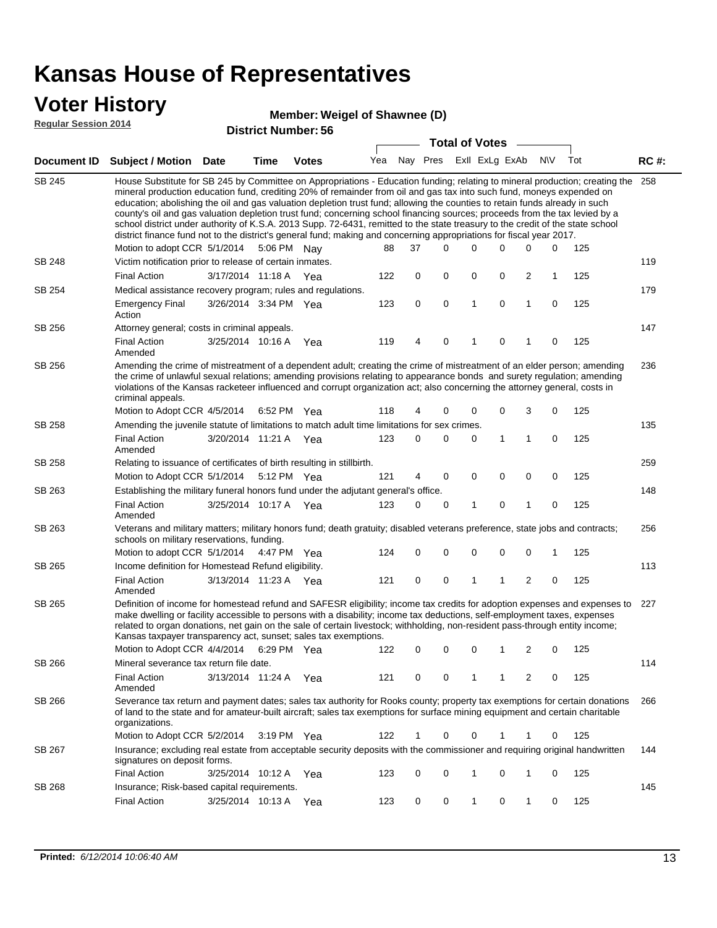#### **Voter History**

#### **Weigel of Shawnee (D)**

**Regular Session 2014**

|               |                                                                                                                                                                                                                                                                                                                                                                                                                                                                                                                                                                                                                                                                                                                                                                                                               |                       |             |              |     |          | <b>Total of Votes</b>           |             |              |                |             |     |             |
|---------------|---------------------------------------------------------------------------------------------------------------------------------------------------------------------------------------------------------------------------------------------------------------------------------------------------------------------------------------------------------------------------------------------------------------------------------------------------------------------------------------------------------------------------------------------------------------------------------------------------------------------------------------------------------------------------------------------------------------------------------------------------------------------------------------------------------------|-----------------------|-------------|--------------|-----|----------|---------------------------------|-------------|--------------|----------------|-------------|-----|-------------|
| Document ID   | <b>Subject / Motion Date</b>                                                                                                                                                                                                                                                                                                                                                                                                                                                                                                                                                                                                                                                                                                                                                                                  |                       | Time        | <b>Votes</b> |     |          | Yea Nay Pres ExII ExLg ExAb N\V |             |              |                |             | Tot | <b>RC#:</b> |
| <b>SB 245</b> | House Substitute for SB 245 by Committee on Appropriations - Education funding; relating to mineral production; creating the<br>mineral production education fund, crediting 20% of remainder from oil and gas tax into such fund, moneys expended on<br>education; abolishing the oil and gas valuation depletion trust fund; allowing the counties to retain funds already in such<br>county's oil and gas valuation depletion trust fund; concerning school financing sources; proceeds from the tax levied by a<br>school district under authority of K.S.A. 2013 Supp. 72-6431, remitted to the state treasury to the credit of the state school<br>district finance fund not to the district's general fund; making and concerning appropriations for fiscal year 2017.<br>Motion to adopt CCR 5/1/2014 |                       |             | 5:06 PM Nay  | 88  | 37       | $\Omega$                        | 0           | 0            | 0              | 0           | 125 | 258         |
| SB 248        | Victim notification prior to release of certain inmates.                                                                                                                                                                                                                                                                                                                                                                                                                                                                                                                                                                                                                                                                                                                                                      |                       |             |              |     |          |                                 |             |              |                |             |     | 119         |
|               | <b>Final Action</b>                                                                                                                                                                                                                                                                                                                                                                                                                                                                                                                                                                                                                                                                                                                                                                                           | 3/17/2014 11:18 A     |             | Yea          | 122 | 0        | $\mathbf 0$                     | 0           | 0            | $\overline{c}$ | 1           | 125 |             |
| SB 254        | Medical assistance recovery program; rules and regulations.                                                                                                                                                                                                                                                                                                                                                                                                                                                                                                                                                                                                                                                                                                                                                   |                       |             |              |     |          |                                 |             |              |                |             |     | 179         |
|               | <b>Emergency Final</b><br>Action                                                                                                                                                                                                                                                                                                                                                                                                                                                                                                                                                                                                                                                                                                                                                                              | 3/26/2014 3:34 PM Yea |             |              | 123 | 0        | $\mathbf 0$                     | 1           | 0            | $\mathbf{1}$   | 0           | 125 |             |
| SB 256        | Attorney general; costs in criminal appeals.                                                                                                                                                                                                                                                                                                                                                                                                                                                                                                                                                                                                                                                                                                                                                                  |                       |             |              |     |          |                                 |             |              |                |             |     | 147         |
|               | Final Action<br>Amended                                                                                                                                                                                                                                                                                                                                                                                                                                                                                                                                                                                                                                                                                                                                                                                       | 3/25/2014 10:16 A     |             | Yea          | 119 | 4        | 0                               | 1           | 0            | 1              | 0           | 125 |             |
| SB 256        | Amending the crime of mistreatment of a dependent adult; creating the crime of mistreatment of an elder person; amending<br>the crime of unlawful sexual relations; amending provisions relating to appearance bonds and surety regulation; amending<br>violations of the Kansas racketeer influenced and corrupt organization act; also concerning the attorney general, costs in<br>criminal appeals.<br>Motion to Adopt CCR 4/5/2014                                                                                                                                                                                                                                                                                                                                                                       |                       |             |              | 118 | 4        |                                 | 0           | 0            | 3              | 0           | 125 | 236         |
| <b>SB 258</b> | Amending the juvenile statute of limitations to match adult time limitations for sex crimes.                                                                                                                                                                                                                                                                                                                                                                                                                                                                                                                                                                                                                                                                                                                  |                       | 6:52 PM Yea |              |     |          | 0                               |             |              |                |             |     | 135         |
|               | <b>Final Action</b><br>Amended                                                                                                                                                                                                                                                                                                                                                                                                                                                                                                                                                                                                                                                                                                                                                                                | 3/20/2014 11:21 A Yea |             |              | 123 | 0        | 0                               | 0           | $\mathbf{1}$ | 1              | 0           | 125 |             |
| SB 258        | Relating to issuance of certificates of birth resulting in stillbirth.                                                                                                                                                                                                                                                                                                                                                                                                                                                                                                                                                                                                                                                                                                                                        |                       |             |              |     |          |                                 |             |              |                |             |     | 259         |
|               | Motion to Adopt CCR 5/1/2014 5:12 PM Yea                                                                                                                                                                                                                                                                                                                                                                                                                                                                                                                                                                                                                                                                                                                                                                      |                       |             |              | 121 | 4        | 0                               | 0           | $\mathbf 0$  | 0              | 0           | 125 |             |
| SB 263        | Establishing the military funeral honors fund under the adjutant general's office.                                                                                                                                                                                                                                                                                                                                                                                                                                                                                                                                                                                                                                                                                                                            |                       |             |              |     |          |                                 |             |              |                |             |     | 148         |
|               | <b>Final Action</b><br>Amended                                                                                                                                                                                                                                                                                                                                                                                                                                                                                                                                                                                                                                                                                                                                                                                | 3/25/2014 10:17 A Yea |             |              | 123 | $\Omega$ | 0                               | 1           | $\mathbf 0$  | 1              | $\mathbf 0$ | 125 |             |
| SB 263        | Veterans and military matters; military honors fund; death gratuity; disabled veterans preference, state jobs and contracts;<br>schools on military reservations, funding.                                                                                                                                                                                                                                                                                                                                                                                                                                                                                                                                                                                                                                    |                       |             |              |     |          |                                 |             |              |                |             |     | 256         |
|               | Motion to adopt CCR 5/1/2014 4:47 PM Yea                                                                                                                                                                                                                                                                                                                                                                                                                                                                                                                                                                                                                                                                                                                                                                      |                       |             |              | 124 | 0        | 0                               | $\mathbf 0$ | $\mathbf 0$  | 0              | 1           | 125 |             |
| SB 265        | Income definition for Homestead Refund eligibility.                                                                                                                                                                                                                                                                                                                                                                                                                                                                                                                                                                                                                                                                                                                                                           |                       |             |              |     |          |                                 |             |              |                |             |     | 113         |
|               | <b>Final Action</b><br>Amended                                                                                                                                                                                                                                                                                                                                                                                                                                                                                                                                                                                                                                                                                                                                                                                | 3/13/2014 11:23 A Yea |             |              | 121 | 0        | $\pmb{0}$                       | 1           | 1            | 2              | 0           | 125 |             |
| SB 265        | Definition of income for homestead refund and SAFESR eligibility; income tax credits for adoption expenses and expenses to<br>make dwelling or facility accessible to persons with a disability; income tax deductions, self-employment taxes, expenses<br>related to organ donations, net gain on the sale of certain livestock; withholding, non-resident pass-through entity income;<br>Kansas taxpayer transparency act, sunset; sales tax exemptions.                                                                                                                                                                                                                                                                                                                                                    |                       |             |              |     |          |                                 |             |              |                |             |     | 227         |
|               | Motion to Adopt CCR 4/4/2014 6:29 PM Yea                                                                                                                                                                                                                                                                                                                                                                                                                                                                                                                                                                                                                                                                                                                                                                      |                       |             |              | 122 | 0        | 0                               | 0           | 1            | 2              | 0           | 125 |             |
| SB 266        | Mineral severance tax return file date.                                                                                                                                                                                                                                                                                                                                                                                                                                                                                                                                                                                                                                                                                                                                                                       |                       |             |              |     |          |                                 |             |              |                |             |     | 114         |
|               | <b>Final Action</b><br>Amended                                                                                                                                                                                                                                                                                                                                                                                                                                                                                                                                                                                                                                                                                                                                                                                | 3/13/2014 11:24 A     |             | Yea          | 121 | 0        | 0                               | 1           | 1            | 2              | 0           | 125 |             |
| SB 266        | Severance tax return and payment dates; sales tax authority for Rooks county; property tax exemptions for certain donations<br>of land to the state and for amateur-built aircraft; sales tax exemptions for surface mining equipment and certain charitable<br>organizations.                                                                                                                                                                                                                                                                                                                                                                                                                                                                                                                                |                       |             |              |     |          |                                 |             |              |                |             |     | 266         |
|               | Motion to Adopt CCR 5/2/2014                                                                                                                                                                                                                                                                                                                                                                                                                                                                                                                                                                                                                                                                                                                                                                                  |                       |             | 3:19 PM Yea  | 122 | 1        | 0                               | 0           | 1            | 1              | 0           | 125 |             |
| SB 267        | Insurance; excluding real estate from acceptable security deposits with the commissioner and requiring original handwritten<br>signatures on deposit forms.                                                                                                                                                                                                                                                                                                                                                                                                                                                                                                                                                                                                                                                   |                       |             |              |     |          |                                 |             |              |                |             |     | 144         |
|               | <b>Final Action</b>                                                                                                                                                                                                                                                                                                                                                                                                                                                                                                                                                                                                                                                                                                                                                                                           | 3/25/2014 10:12 A Yea |             |              | 123 | 0        | 0                               | 1           | 0            | 1              | 0           | 125 |             |
| SB 268        | Insurance; Risk-based capital requirements.                                                                                                                                                                                                                                                                                                                                                                                                                                                                                                                                                                                                                                                                                                                                                                   |                       |             |              |     |          |                                 |             |              |                |             |     | 145         |
|               | <b>Final Action</b>                                                                                                                                                                                                                                                                                                                                                                                                                                                                                                                                                                                                                                                                                                                                                                                           | 3/25/2014 10:13 A Yea |             |              | 123 | 0        | 0                               | 1           | 0            | 1              | 0           | 125 |             |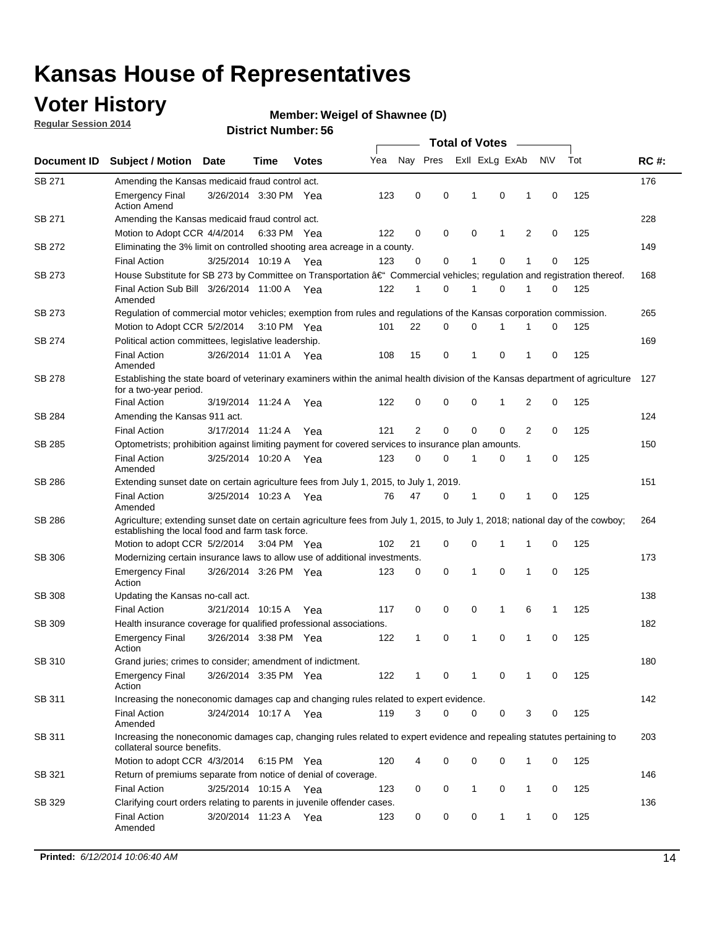### **Voter History**

**Regular Session 2014**

#### **Weigel of Shawnee (D)**

|               |                                                                                                                                                                                    |                       |      |              |     |                |             | <b>Total of Votes</b> |              |   |             |     |             |
|---------------|------------------------------------------------------------------------------------------------------------------------------------------------------------------------------------|-----------------------|------|--------------|-----|----------------|-------------|-----------------------|--------------|---|-------------|-----|-------------|
| Document ID   | <b>Subject / Motion Date</b>                                                                                                                                                       |                       | Time | <b>Votes</b> | Yea | Nay Pres       |             | Exll ExLg ExAb        |              |   | N\V         | Tot | <b>RC#:</b> |
| SB 271        | Amending the Kansas medicaid fraud control act.                                                                                                                                    |                       |      |              |     |                |             |                       |              |   |             |     | 176         |
|               | <b>Emergency Final</b><br><b>Action Amend</b>                                                                                                                                      | 3/26/2014 3:30 PM Yea |      |              | 123 | 0              | 0           | 1                     | 0            | 1 | $\mathbf 0$ | 125 |             |
| SB 271        | Amending the Kansas medicaid fraud control act.                                                                                                                                    |                       |      |              |     |                |             |                       |              |   |             |     | 228         |
|               | Motion to Adopt CCR 4/4/2014 6:33 PM Yea                                                                                                                                           |                       |      |              | 122 | 0              | 0           | 0                     | 1            | 2 | 0           | 125 |             |
| SB 272        | Eliminating the 3% limit on controlled shooting area acreage in a county.                                                                                                          |                       |      |              |     |                |             |                       |              |   |             |     | 149         |
|               | <b>Final Action</b>                                                                                                                                                                | 3/25/2014 10:19 A Yea |      |              | 123 | 0              | 0           | 1                     | 0            | 1 | $\mathbf 0$ | 125 |             |
| SB 273        | House Substitute for SB 273 by Committee on Transportation †Commercial vehicles; regulation and registration thereof.                                                              |                       |      |              |     |                |             |                       |              |   |             |     | 168         |
|               | Final Action Sub Bill 3/26/2014 11:00 A Yea<br>Amended                                                                                                                             |                       |      |              | 122 | 1              | 0           | 1                     | 0            | 1 | 0           | 125 |             |
| SB 273        | Regulation of commercial motor vehicles; exemption from rules and regulations of the Kansas corporation commission.                                                                |                       |      |              |     |                |             |                       |              |   |             |     | 265         |
|               | Motion to Adopt CCR 5/2/2014 3:10 PM Yea                                                                                                                                           |                       |      |              | 101 | 22             | 0           | 0                     | 1            | 1 | 0           | 125 |             |
| SB 274        | Political action committees, legislative leadership.                                                                                                                               |                       |      |              |     |                |             |                       |              |   |             |     | 169         |
|               | <b>Final Action</b><br>Amended                                                                                                                                                     | 3/26/2014 11:01 A Yea |      |              | 108 | 15             | 0           | -1                    | 0            | 1 | 0           | 125 |             |
| <b>SB 278</b> | Establishing the state board of veterinary examiners within the animal health division of the Kansas department of agriculture<br>for a two-year period.                           |                       |      |              |     |                |             |                       |              |   |             |     | 127         |
|               | <b>Final Action</b>                                                                                                                                                                | 3/19/2014 11:24 A     |      | Yea          | 122 | 0              | 0           | 0                     | 1            | 2 | 0           | 125 |             |
| SB 284        | Amending the Kansas 911 act.                                                                                                                                                       |                       |      |              |     |                |             |                       |              |   |             |     | 124         |
|               | <b>Final Action</b>                                                                                                                                                                | 3/17/2014 11:24 A     |      | Yea          | 121 | $\overline{2}$ | $\mathbf 0$ | $\mathbf 0$           | $\mathbf 0$  | 2 | 0           | 125 |             |
| SB 285        | Optometrists; prohibition against limiting payment for covered services to insurance plan amounts.                                                                                 |                       |      |              |     |                |             |                       |              |   |             |     | 150         |
|               | <b>Final Action</b><br>Amended                                                                                                                                                     | 3/25/2014 10:20 A     |      | Yea          | 123 | 0              | 0           | $\mathbf{1}$          | 0            | 1 | 0           | 125 |             |
| SB 286        | Extending sunset date on certain agriculture fees from July 1, 2015, to July 1, 2019.                                                                                              |                       |      |              |     |                |             |                       |              |   |             |     | 151         |
|               | <b>Final Action</b><br>Amended                                                                                                                                                     | 3/25/2014 10:23 A Yea |      |              | 76  | 47             | 0           | $\mathbf{1}$          | 0            | 1 | 0           | 125 |             |
| SB 286        | Agriculture; extending sunset date on certain agriculture fees from July 1, 2015, to July 1, 2018; national day of the cowboy;<br>establishing the local food and farm task force. |                       |      |              |     |                |             |                       |              |   |             |     | 264         |
|               | Motion to adopt CCR 5/2/2014 3:04 PM Yea                                                                                                                                           |                       |      |              | 102 | 21             | 0           | 0                     | 1            | 1 | 0           | 125 |             |
| SB 306        | Modernizing certain insurance laws to allow use of additional investments.                                                                                                         |                       |      |              |     |                |             |                       |              |   |             |     | 173         |
|               | <b>Emergency Final</b>                                                                                                                                                             | 3/26/2014 3:26 PM Yea |      |              | 123 | 0              | 0           | 1                     | $\mathbf 0$  | 1 | 0           | 125 |             |
|               | Action                                                                                                                                                                             |                       |      |              |     |                |             |                       |              |   |             |     |             |
| <b>SB 308</b> | Updating the Kansas no-call act.                                                                                                                                                   |                       |      |              |     |                |             |                       |              |   |             |     | 138         |
|               | <b>Final Action</b>                                                                                                                                                                | 3/21/2014 10:15 A     |      | Yea          | 117 | 0              | 0           | 0                     | $\mathbf{1}$ | 6 | 1           | 125 |             |
| SB 309        | Health insurance coverage for qualified professional associations.                                                                                                                 |                       |      |              |     |                |             |                       |              |   |             |     | 182         |
|               | <b>Emergency Final</b><br>Action                                                                                                                                                   | 3/26/2014 3:38 PM Yea |      |              | 122 | 1              | 0           | 1                     | 0            | 1 | 0           | 125 |             |
| SB 310        | Grand juries; crimes to consider; amendment of indictment.                                                                                                                         |                       |      |              |     |                |             |                       |              |   |             |     | 180         |
|               | <b>Emergency Final</b><br>Action                                                                                                                                                   | 3/26/2014 3:35 PM Yea |      |              | 122 | 1              | 0           | 1                     | 0            | 1 | 0           | 125 |             |
| SB 311        | Increasing the noneconomic damages cap and changing rules related to expert evidence.                                                                                              |                       |      |              |     |                |             |                       |              |   |             |     | 142         |
|               | <b>Final Action</b><br>Amended                                                                                                                                                     | 3/24/2014 10:17 A Yea |      |              | 119 | 3              | $\Omega$    | 0                     | 0            | 3 | 0           | 125 |             |
| SB 311        | Increasing the noneconomic damages cap, changing rules related to expert evidence and repealing statutes pertaining to<br>collateral source benefits.                              |                       |      |              |     |                |             |                       |              |   |             |     | 203         |
|               | Motion to adopt CCR 4/3/2014 6:15 PM Yea                                                                                                                                           |                       |      |              | 120 | 4              | 0           | 0                     | 0            | 1 | 0           | 125 |             |
| SB 321        | Return of premiums separate from notice of denial of coverage.                                                                                                                     |                       |      |              |     |                |             |                       |              |   |             |     | 146         |
|               | <b>Final Action</b>                                                                                                                                                                | 3/25/2014 10:15 A Yea |      |              | 123 | 0              | 0           | 1                     | 0            | 1 | 0           | 125 |             |
| SB 329        | Clarifying court orders relating to parents in juvenile offender cases.<br><b>Final Action</b>                                                                                     | 3/20/2014 11:23 A Yea |      |              | 123 | 0              | 0           | 0                     | 1            | 1 | 0           | 125 | 136         |
|               | Amended                                                                                                                                                                            |                       |      |              |     |                |             |                       |              |   |             |     |             |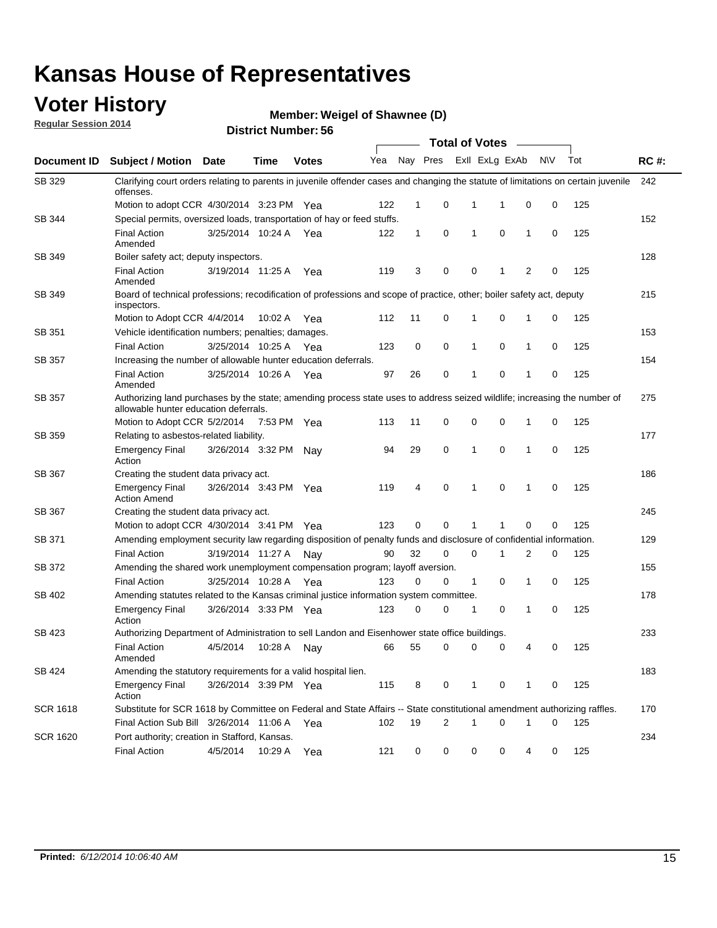### **Voter History**

**Regular Session 2014**

**Weigel of Shawnee (D)**

|                 |                                                                                                                                                                    |                       |             |              |     |              |             | <b>Total of Votes</b>   |             |              |             |     |             |
|-----------------|--------------------------------------------------------------------------------------------------------------------------------------------------------------------|-----------------------|-------------|--------------|-----|--------------|-------------|-------------------------|-------------|--------------|-------------|-----|-------------|
| Document ID     | <b>Subject / Motion</b>                                                                                                                                            | <b>Date</b>           | Time        | <b>Votes</b> | Yea |              |             | Nay Pres ExII ExLg ExAb |             |              | N\V         | Tot | <b>RC#:</b> |
| SB 329          | Clarifying court orders relating to parents in juvenile offender cases and changing the statute of limitations on certain juvenile<br>offenses.                    |                       |             |              |     |              |             |                         |             |              |             |     | 242         |
|                 | Motion to adopt CCR 4/30/2014 3:23 PM Yea                                                                                                                          |                       |             |              | 122 | 1            | 0           | 1                       | 1           | 0            | 0           | 125 |             |
| SB 344          | Special permits, oversized loads, transportation of hay or feed stuffs.                                                                                            |                       |             |              |     |              |             |                         |             |              |             |     | 152         |
|                 | <b>Final Action</b><br>Amended                                                                                                                                     | 3/25/2014 10:24 A     |             | Yea          | 122 | $\mathbf{1}$ | 0           | 1                       | $\mathbf 0$ | 1            | 0           | 125 |             |
| SB 349          | Boiler safety act; deputy inspectors.                                                                                                                              |                       |             |              |     |              |             |                         |             |              |             |     | 128         |
|                 | <b>Final Action</b><br>Amended                                                                                                                                     | 3/19/2014 11:25 A     |             | Yea          | 119 | 3            | 0           | 0                       | 1           | 2            | 0           | 125 |             |
| SB 349          | Board of technical professions; recodification of professions and scope of practice, other; boiler safety act, deputy<br>inspectors.                               |                       |             |              |     |              |             |                         |             |              |             |     | 215         |
|                 | Motion to Adopt CCR 4/4/2014                                                                                                                                       |                       | 10:02 A     | Yea          | 112 | 11           | 0           | 1                       | 0           | $\mathbf{1}$ | 0           | 125 |             |
| SB 351          | Vehicle identification numbers; penalties; damages.                                                                                                                |                       |             |              |     |              |             |                         |             |              |             |     | 153         |
|                 | <b>Final Action</b>                                                                                                                                                | 3/25/2014 10:25 A     |             | Yea          | 123 | 0            | 0           | 1                       | $\mathbf 0$ | 1            | 0           | 125 |             |
| SB 357          | Increasing the number of allowable hunter education deferrals.                                                                                                     |                       |             |              |     |              |             |                         |             |              |             |     | 154         |
|                 | <b>Final Action</b><br>Amended                                                                                                                                     | 3/25/2014 10:26 A     |             | Yea          | 97  | 26           | 0           | 1                       | 0           | $\mathbf 1$  | $\mathbf 0$ | 125 |             |
| SB 357          | Authorizing land purchases by the state; amending process state uses to address seized wildlife; increasing the number of<br>allowable hunter education deferrals. |                       |             |              |     |              |             |                         |             |              |             |     | 275         |
|                 | Motion to Adopt CCR 5/2/2014                                                                                                                                       |                       | 7:53 PM Yea |              | 113 | 11           | 0           | 0                       | 0           | 1            | 0           | 125 |             |
| SB 359          | Relating to asbestos-related liability.                                                                                                                            |                       |             |              |     |              |             |                         |             |              |             |     | 177         |
|                 | <b>Emergency Final</b><br>Action                                                                                                                                   | 3/26/2014 3:32 PM     |             | Nav          | 94  | 29           | 0           | 1                       | 0           | $\mathbf{1}$ | 0           | 125 |             |
| SB 367          | Creating the student data privacy act.                                                                                                                             |                       |             |              |     |              |             |                         |             |              |             |     | 186         |
|                 | <b>Emergency Final</b><br><b>Action Amend</b>                                                                                                                      | 3/26/2014 3:43 PM Yea |             |              | 119 | 4            | 0           | 1                       | $\mathbf 0$ | 1            | 0           | 125 |             |
| SB 367          | Creating the student data privacy act.                                                                                                                             |                       |             |              |     |              |             |                         |             |              |             |     | 245         |
|                 | Motion to adopt CCR 4/30/2014 3:41 PM Yea                                                                                                                          |                       |             |              | 123 | 0            | 0           | 1                       | 1           | $\mathbf 0$  | 0           | 125 |             |
| SB 371          | Amending employment security law regarding disposition of penalty funds and disclosure of confidential information.                                                |                       |             |              |     |              |             |                         |             |              |             |     | 129         |
|                 | <b>Final Action</b>                                                                                                                                                | 3/19/2014 11:27 A Nay |             |              | 90  | 32           | $\mathbf 0$ | 0                       | 1           | 2            | 0           | 125 |             |
| SB 372          | Amending the shared work unemployment compensation program; layoff aversion.                                                                                       |                       |             |              |     |              |             |                         |             |              |             |     | 155         |
|                 | <b>Final Action</b>                                                                                                                                                | 3/25/2014 10:28 A     |             | Yea          | 123 | 0            | 0           | $\mathbf{1}$            | 0           | 1            | 0           | 125 |             |
| SB 402          | Amending statutes related to the Kansas criminal justice information system committee.                                                                             |                       |             |              |     |              |             |                         |             |              |             |     | 178         |
|                 | <b>Emergency Final</b><br>Action                                                                                                                                   | 3/26/2014 3:33 PM Yea |             |              | 123 | 0            | 0           | 1                       | 0           | 1            | 0           | 125 |             |
| SB 423          | Authorizing Department of Administration to sell Landon and Eisenhower state office buildings.                                                                     |                       |             |              |     |              |             |                         |             |              |             |     | 233         |
|                 | <b>Final Action</b><br>Amended                                                                                                                                     | 4/5/2014              | 10:28 A     | Nav          | 66  | 55           | 0           | 0                       | $\mathbf 0$ | 4            | 0           | 125 |             |
| SB 424          | Amending the statutory requirements for a valid hospital lien.                                                                                                     |                       |             |              |     |              |             |                         |             |              |             |     | 183         |
|                 | <b>Emergency Final</b><br>Action                                                                                                                                   | 3/26/2014 3:39 PM Yea |             |              | 115 | 8            | 0           | $\mathbf{1}$            | 0           | 1            | 0           | 125 |             |
| <b>SCR 1618</b> | Substitute for SCR 1618 by Committee on Federal and State Affairs -- State constitutional amendment authorizing raffles.                                           |                       |             |              |     |              |             |                         |             |              |             |     | 170         |
|                 | Final Action Sub Bill 3/26/2014 11:06 A Yea                                                                                                                        |                       |             |              | 102 | 19           | 2           | 1                       | 0           | $\mathbf{1}$ | 0           | 125 |             |
| <b>SCR 1620</b> | Port authority; creation in Stafford, Kansas.                                                                                                                      |                       |             |              |     |              |             |                         |             |              |             |     | 234         |
|                 | <b>Final Action</b>                                                                                                                                                | 4/5/2014              | 10:29 A     | Yea          | 121 | 0            | 0           | 0                       | 0           | 4            | 0           | 125 |             |